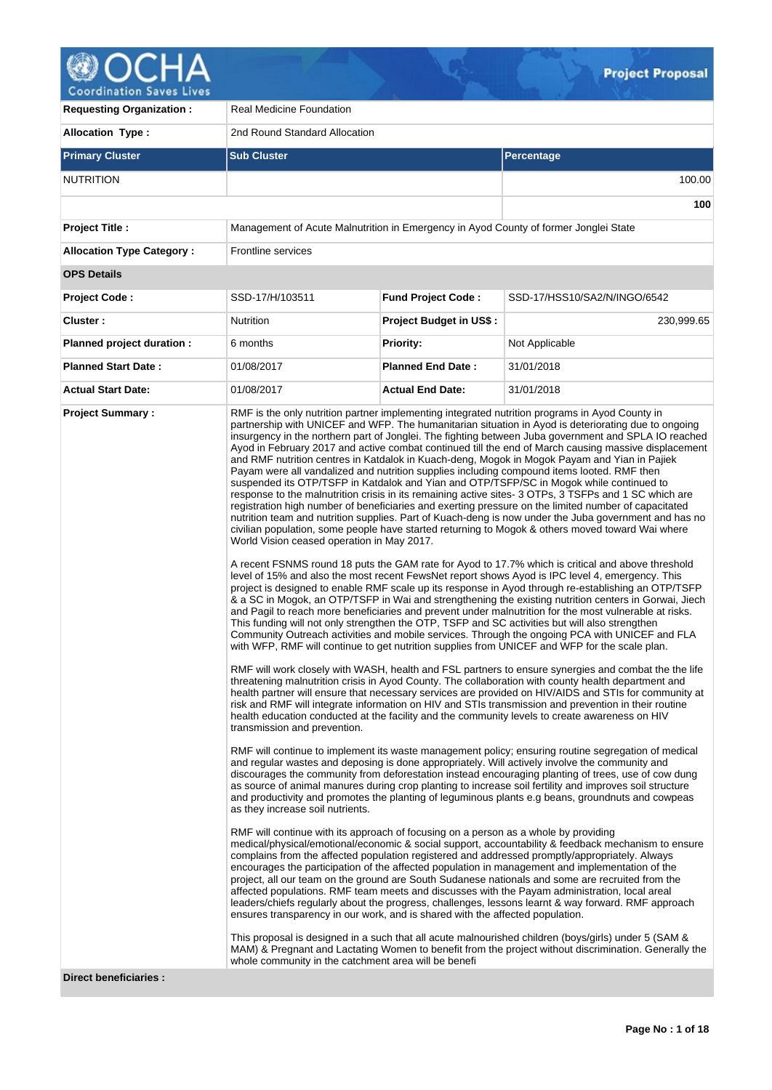

| <b>Requesting Organization:</b>  | <b>Real Medicine Foundation</b>                                                                                                                                                                                                                                                        |                           |                                                                                                                                                                                                                                                                                                                                                                                                                                                                                                                                                                                                                                                                                                                                                                                                                                                                                                                                                                                                                                                                                                                                                                                                                                                                                                                                                                                                                                                                                                                                                                                                                                                                                                                                                                                                                                                                                                                                                                                                                                                                                                                                                                                                                                                                                                                                                                                                                                                                                                                                                                                                                                                                                                                                                                                                                                                                                                                                                                                                                                                                                                                                                                                                                                                                                                                                                                                                                                                                                                                                                                                                                                                                                                                                                                                       |  |  |  |  |  |
|----------------------------------|----------------------------------------------------------------------------------------------------------------------------------------------------------------------------------------------------------------------------------------------------------------------------------------|---------------------------|---------------------------------------------------------------------------------------------------------------------------------------------------------------------------------------------------------------------------------------------------------------------------------------------------------------------------------------------------------------------------------------------------------------------------------------------------------------------------------------------------------------------------------------------------------------------------------------------------------------------------------------------------------------------------------------------------------------------------------------------------------------------------------------------------------------------------------------------------------------------------------------------------------------------------------------------------------------------------------------------------------------------------------------------------------------------------------------------------------------------------------------------------------------------------------------------------------------------------------------------------------------------------------------------------------------------------------------------------------------------------------------------------------------------------------------------------------------------------------------------------------------------------------------------------------------------------------------------------------------------------------------------------------------------------------------------------------------------------------------------------------------------------------------------------------------------------------------------------------------------------------------------------------------------------------------------------------------------------------------------------------------------------------------------------------------------------------------------------------------------------------------------------------------------------------------------------------------------------------------------------------------------------------------------------------------------------------------------------------------------------------------------------------------------------------------------------------------------------------------------------------------------------------------------------------------------------------------------------------------------------------------------------------------------------------------------------------------------------------------------------------------------------------------------------------------------------------------------------------------------------------------------------------------------------------------------------------------------------------------------------------------------------------------------------------------------------------------------------------------------------------------------------------------------------------------------------------------------------------------------------------------------------------------------------------------------------------------------------------------------------------------------------------------------------------------------------------------------------------------------------------------------------------------------------------------------------------------------------------------------------------------------------------------------------------------------------------------------------------------------------------------------------------------|--|--|--|--|--|
| <b>Allocation Type:</b>          | 2nd Round Standard Allocation                                                                                                                                                                                                                                                          |                           |                                                                                                                                                                                                                                                                                                                                                                                                                                                                                                                                                                                                                                                                                                                                                                                                                                                                                                                                                                                                                                                                                                                                                                                                                                                                                                                                                                                                                                                                                                                                                                                                                                                                                                                                                                                                                                                                                                                                                                                                                                                                                                                                                                                                                                                                                                                                                                                                                                                                                                                                                                                                                                                                                                                                                                                                                                                                                                                                                                                                                                                                                                                                                                                                                                                                                                                                                                                                                                                                                                                                                                                                                                                                                                                                                                                       |  |  |  |  |  |
| <b>Primary Cluster</b>           | <b>Sub Cluster</b>                                                                                                                                                                                                                                                                     | <b>Percentage</b>         |                                                                                                                                                                                                                                                                                                                                                                                                                                                                                                                                                                                                                                                                                                                                                                                                                                                                                                                                                                                                                                                                                                                                                                                                                                                                                                                                                                                                                                                                                                                                                                                                                                                                                                                                                                                                                                                                                                                                                                                                                                                                                                                                                                                                                                                                                                                                                                                                                                                                                                                                                                                                                                                                                                                                                                                                                                                                                                                                                                                                                                                                                                                                                                                                                                                                                                                                                                                                                                                                                                                                                                                                                                                                                                                                                                                       |  |  |  |  |  |
| <b>NUTRITION</b>                 |                                                                                                                                                                                                                                                                                        |                           | 100.00                                                                                                                                                                                                                                                                                                                                                                                                                                                                                                                                                                                                                                                                                                                                                                                                                                                                                                                                                                                                                                                                                                                                                                                                                                                                                                                                                                                                                                                                                                                                                                                                                                                                                                                                                                                                                                                                                                                                                                                                                                                                                                                                                                                                                                                                                                                                                                                                                                                                                                                                                                                                                                                                                                                                                                                                                                                                                                                                                                                                                                                                                                                                                                                                                                                                                                                                                                                                                                                                                                                                                                                                                                                                                                                                                                                |  |  |  |  |  |
|                                  |                                                                                                                                                                                                                                                                                        |                           | 100                                                                                                                                                                                                                                                                                                                                                                                                                                                                                                                                                                                                                                                                                                                                                                                                                                                                                                                                                                                                                                                                                                                                                                                                                                                                                                                                                                                                                                                                                                                                                                                                                                                                                                                                                                                                                                                                                                                                                                                                                                                                                                                                                                                                                                                                                                                                                                                                                                                                                                                                                                                                                                                                                                                                                                                                                                                                                                                                                                                                                                                                                                                                                                                                                                                                                                                                                                                                                                                                                                                                                                                                                                                                                                                                                                                   |  |  |  |  |  |
| <b>Project Title:</b>            | Management of Acute Malnutrition in Emergency in Ayod County of former Jonglei State                                                                                                                                                                                                   |                           |                                                                                                                                                                                                                                                                                                                                                                                                                                                                                                                                                                                                                                                                                                                                                                                                                                                                                                                                                                                                                                                                                                                                                                                                                                                                                                                                                                                                                                                                                                                                                                                                                                                                                                                                                                                                                                                                                                                                                                                                                                                                                                                                                                                                                                                                                                                                                                                                                                                                                                                                                                                                                                                                                                                                                                                                                                                                                                                                                                                                                                                                                                                                                                                                                                                                                                                                                                                                                                                                                                                                                                                                                                                                                                                                                                                       |  |  |  |  |  |
| <b>Allocation Type Category:</b> | Frontline services                                                                                                                                                                                                                                                                     |                           |                                                                                                                                                                                                                                                                                                                                                                                                                                                                                                                                                                                                                                                                                                                                                                                                                                                                                                                                                                                                                                                                                                                                                                                                                                                                                                                                                                                                                                                                                                                                                                                                                                                                                                                                                                                                                                                                                                                                                                                                                                                                                                                                                                                                                                                                                                                                                                                                                                                                                                                                                                                                                                                                                                                                                                                                                                                                                                                                                                                                                                                                                                                                                                                                                                                                                                                                                                                                                                                                                                                                                                                                                                                                                                                                                                                       |  |  |  |  |  |
| <b>OPS Details</b>               |                                                                                                                                                                                                                                                                                        |                           |                                                                                                                                                                                                                                                                                                                                                                                                                                                                                                                                                                                                                                                                                                                                                                                                                                                                                                                                                                                                                                                                                                                                                                                                                                                                                                                                                                                                                                                                                                                                                                                                                                                                                                                                                                                                                                                                                                                                                                                                                                                                                                                                                                                                                                                                                                                                                                                                                                                                                                                                                                                                                                                                                                                                                                                                                                                                                                                                                                                                                                                                                                                                                                                                                                                                                                                                                                                                                                                                                                                                                                                                                                                                                                                                                                                       |  |  |  |  |  |
| <b>Project Code:</b>             | SSD-17/H/103511                                                                                                                                                                                                                                                                        | <b>Fund Project Code:</b> | SSD-17/HSS10/SA2/N/INGO/6542                                                                                                                                                                                                                                                                                                                                                                                                                                                                                                                                                                                                                                                                                                                                                                                                                                                                                                                                                                                                                                                                                                                                                                                                                                                                                                                                                                                                                                                                                                                                                                                                                                                                                                                                                                                                                                                                                                                                                                                                                                                                                                                                                                                                                                                                                                                                                                                                                                                                                                                                                                                                                                                                                                                                                                                                                                                                                                                                                                                                                                                                                                                                                                                                                                                                                                                                                                                                                                                                                                                                                                                                                                                                                                                                                          |  |  |  |  |  |
| <b>Cluster:</b>                  | Nutrition                                                                                                                                                                                                                                                                              | Project Budget in US\$:   | 230,999.65                                                                                                                                                                                                                                                                                                                                                                                                                                                                                                                                                                                                                                                                                                                                                                                                                                                                                                                                                                                                                                                                                                                                                                                                                                                                                                                                                                                                                                                                                                                                                                                                                                                                                                                                                                                                                                                                                                                                                                                                                                                                                                                                                                                                                                                                                                                                                                                                                                                                                                                                                                                                                                                                                                                                                                                                                                                                                                                                                                                                                                                                                                                                                                                                                                                                                                                                                                                                                                                                                                                                                                                                                                                                                                                                                                            |  |  |  |  |  |
| Planned project duration :       | 6 months                                                                                                                                                                                                                                                                               | Priority:                 | Not Applicable                                                                                                                                                                                                                                                                                                                                                                                                                                                                                                                                                                                                                                                                                                                                                                                                                                                                                                                                                                                                                                                                                                                                                                                                                                                                                                                                                                                                                                                                                                                                                                                                                                                                                                                                                                                                                                                                                                                                                                                                                                                                                                                                                                                                                                                                                                                                                                                                                                                                                                                                                                                                                                                                                                                                                                                                                                                                                                                                                                                                                                                                                                                                                                                                                                                                                                                                                                                                                                                                                                                                                                                                                                                                                                                                                                        |  |  |  |  |  |
| <b>Planned Start Date:</b>       | 01/08/2017                                                                                                                                                                                                                                                                             | <b>Planned End Date:</b>  | 31/01/2018                                                                                                                                                                                                                                                                                                                                                                                                                                                                                                                                                                                                                                                                                                                                                                                                                                                                                                                                                                                                                                                                                                                                                                                                                                                                                                                                                                                                                                                                                                                                                                                                                                                                                                                                                                                                                                                                                                                                                                                                                                                                                                                                                                                                                                                                                                                                                                                                                                                                                                                                                                                                                                                                                                                                                                                                                                                                                                                                                                                                                                                                                                                                                                                                                                                                                                                                                                                                                                                                                                                                                                                                                                                                                                                                                                            |  |  |  |  |  |
| <b>Actual Start Date:</b>        | 01/08/2017                                                                                                                                                                                                                                                                             | <b>Actual End Date:</b>   | 31/01/2018                                                                                                                                                                                                                                                                                                                                                                                                                                                                                                                                                                                                                                                                                                                                                                                                                                                                                                                                                                                                                                                                                                                                                                                                                                                                                                                                                                                                                                                                                                                                                                                                                                                                                                                                                                                                                                                                                                                                                                                                                                                                                                                                                                                                                                                                                                                                                                                                                                                                                                                                                                                                                                                                                                                                                                                                                                                                                                                                                                                                                                                                                                                                                                                                                                                                                                                                                                                                                                                                                                                                                                                                                                                                                                                                                                            |  |  |  |  |  |
| <b>Project Summary:</b>          | World Vision ceased operation in May 2017.<br>transmission and prevention.<br>as they increase soil nutrients.<br>RMF will continue with its approach of focusing on a person as a whole by providing<br>ensures transparency in our work, and is shared with the affected population. |                           | RMF is the only nutrition partner implementing integrated nutrition programs in Ayod County in<br>partnership with UNICEF and WFP. The humanitarian situation in Ayod is deteriorating due to ongoing<br>insurgency in the northern part of Jonglei. The fighting between Juba government and SPLA IO reached<br>Ayod in February 2017 and active combat continued till the end of March causing massive displacement<br>and RMF nutrition centres in Katdalok in Kuach-deng, Mogok in Mogok Payam and Yian in Pajiek<br>Payam were all vandalized and nutrition supplies including compound items looted. RMF then<br>suspended its OTP/TSFP in Katdalok and Yian and OTP/TSFP/SC in Mogok while continued to<br>response to the malnutrition crisis in its remaining active sites- 3 OTPs, 3 TSFPs and 1 SC which are<br>registration high number of beneficiaries and exerting pressure on the limited number of capacitated<br>nutrition team and nutrition supplies. Part of Kuach-deng is now under the Juba government and has no<br>civilian population, some people have started returning to Mogok & others moved toward Wai where<br>A recent FSNMS round 18 puts the GAM rate for Ayod to 17.7% which is critical and above threshold<br>level of 15% and also the most recent FewsNet report shows Ayod is IPC level 4, emergency. This<br>project is designed to enable RMF scale up its response in Ayod through re-establishing an OTP/TSFP<br>& a SC in Mogok, an OTP/TSFP in Wai and strengthening the existing nutrition centers in Gorwai, Jiech<br>and Pagil to reach more beneficiaries and prevent under malnutrition for the most vulnerable at risks.<br>This funding will not only strengthen the OTP, TSFP and SC activities but will also strengthen<br>Community Outreach activities and mobile services. Through the ongoing PCA with UNICEF and FLA<br>with WFP, RMF will continue to get nutrition supplies from UNICEF and WFP for the scale plan.<br>RMF will work closely with WASH, health and FSL partners to ensure synergies and combat the the life<br>threatening malnutrition crisis in Ayod County. The collaboration with county health department and<br>health partner will ensure that necessary services are provided on HIV/AIDS and STIs for community at<br>risk and RMF will integrate information on HIV and STIs transmission and prevention in their routine<br>health education conducted at the facility and the community levels to create awareness on HIV<br>RMF will continue to implement its waste management policy; ensuring routine segregation of medical<br>and regular wastes and deposing is done appropriately. Will actively involve the community and<br>discourages the community from deforestation instead encouraging planting of trees, use of cow dung<br>as source of animal manures during crop planting to increase soil fertility and improves soil structure<br>and productivity and promotes the planting of leguminous plants e.g beans, groundnuts and cowpeas<br>medical/physical/emotional/economic & social support, accountability & feedback mechanism to ensure<br>complains from the affected population registered and addressed promptly/appropriately. Always<br>encourages the participation of the affected population in management and implementation of the<br>project, all our team on the ground are South Sudanese nationals and some are recruited from the<br>affected populations. RMF team meets and discusses with the Payam administration, local areal<br>leaders/chiefs regularly about the progress, challenges, lessons learnt & way forward. RMF approach<br>This proposal is designed in a such that all acute malnourished children (boys/girls) under 5 (SAM & |  |  |  |  |  |

**Direct beneficiaries :**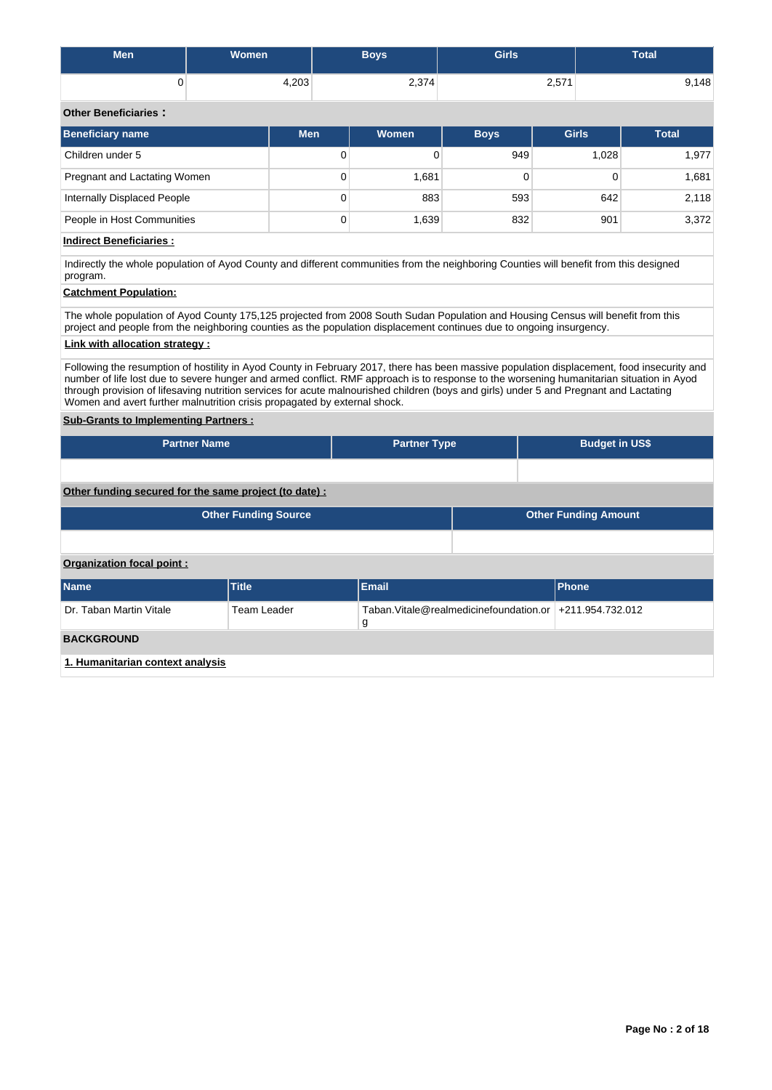| Men | Women | <b>Boys</b> | <b>Girls</b> | Total |
|-----|-------|-------------|--------------|-------|
|     | 4,203 | 2,374       | 2,571        | 9,148 |

# **Other Beneficiaries :**

| Beneficiary name             | <b>Men</b> | Women | <b>Boys</b> | <b>Girls</b> | <b>Total</b> |
|------------------------------|------------|-------|-------------|--------------|--------------|
| Children under 5             | 0          |       | 949         | 1,028        | 1,977        |
| Pregnant and Lactating Women | 0          | 1,681 |             |              | 1,681        |
| Internally Displaced People  | 0          | 883   | 593         | 642          | 2,118        |
| People in Host Communities   | 0          | 1,639 | 832         | 901          | 3,372        |

# **Indirect Beneficiaries :**

Indirectly the whole population of Ayod County and different communities from the neighboring Counties will benefit from this designed program.

# **Catchment Population:**

The whole population of Ayod County 175,125 projected from 2008 South Sudan Population and Housing Census will benefit from this project and people from the neighboring counties as the population displacement continues due to ongoing insurgency.

### **Link with allocation strategy :**

Following the resumption of hostility in Ayod County in February 2017, there has been massive population displacement, food insecurity and number of life lost due to severe hunger and armed conflict. RMF approach is to response to the worsening humanitarian situation in Ayod through provision of lifesaving nutrition services for acute malnourished children (boys and girls) under 5 and Pregnant and Lactating Women and avert further malnutrition crisis propagated by external shock.

### **Sub-Grants to Implementing Partners :**

| <b>Partner Name</b> | <b>Partner Type</b> | <b>Budget in US\$</b> |
|---------------------|---------------------|-----------------------|
|                     |                     |                       |

# **Other funding secured for the same project (to date) :**

|                                  | <b>Other Funding Source</b> |       | <b>Other Funding Amount</b>                                |              |  |
|----------------------------------|-----------------------------|-------|------------------------------------------------------------|--------------|--|
|                                  |                             |       |                                                            |              |  |
| <b>Organization focal point:</b> |                             |       |                                                            |              |  |
| <b>Name</b>                      | <b>Title</b>                | Email |                                                            | <b>Phone</b> |  |
| Dr. Taban Martin Vitale          | Team Leader                 | g     | Taban. Vitale@realmedicinefoundation.or   +211.954.732.012 |              |  |

## **BACKGROUND**

**1. Humanitarian context analysis**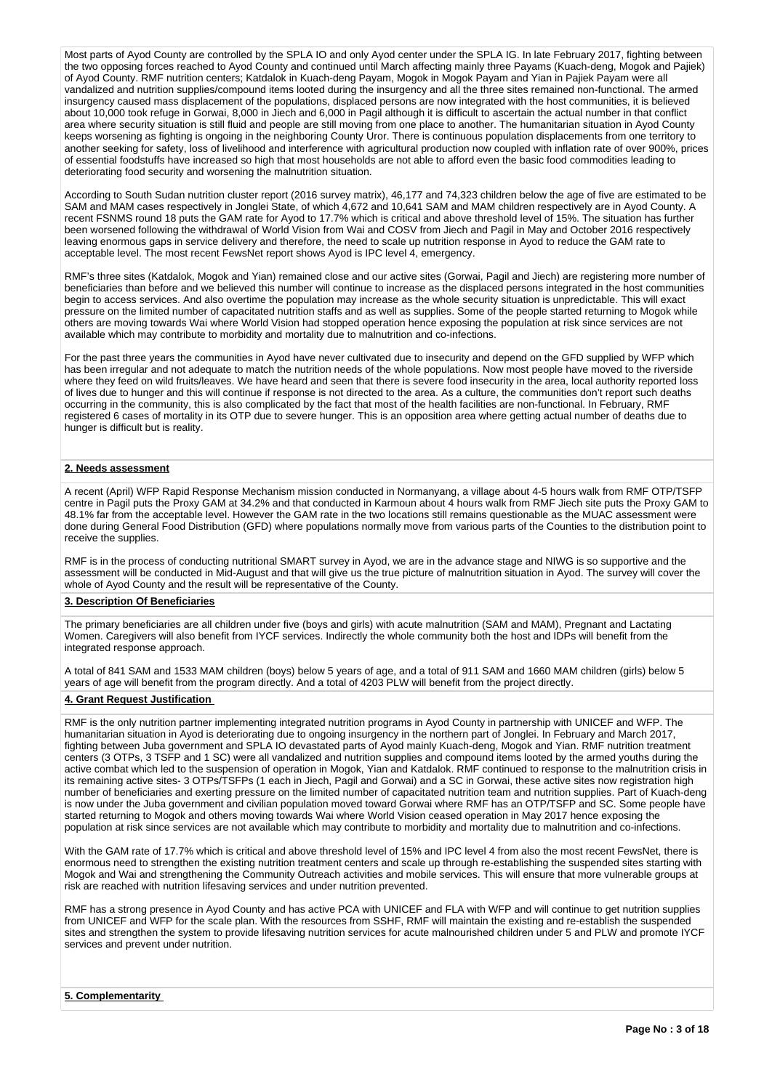Most parts of Ayod County are controlled by the SPLA IO and only Ayod center under the SPLA IG. In late February 2017, fighting between the two opposing forces reached to Ayod County and continued until March affecting mainly three Payams (Kuach-deng, Mogok and Pajiek) of Ayod County. RMF nutrition centers; Katdalok in Kuach-deng Payam, Mogok in Mogok Payam and Yian in Pajiek Payam were all vandalized and nutrition supplies/compound items looted during the insurgency and all the three sites remained non-functional. The armed insurgency caused mass displacement of the populations, displaced persons are now integrated with the host communities, it is believed about 10,000 took refuge in Gorwai, 8,000 in Jiech and 6,000 in Pagil although it is difficult to ascertain the actual number in that conflict area where security situation is still fluid and people are still moving from one place to another. The humanitarian situation in Ayod County keeps worsening as fighting is ongoing in the neighboring County Uror. There is continuous population displacements from one territory to another seeking for safety, loss of livelihood and interference with agricultural production now coupled with inflation rate of over 900%, prices of essential foodstuffs have increased so high that most households are not able to afford even the basic food commodities leading to deteriorating food security and worsening the malnutrition situation.

According to South Sudan nutrition cluster report (2016 survey matrix), 46,177 and 74,323 children below the age of five are estimated to be SAM and MAM cases respectively in Jonglei State, of which 4,672 and 10,641 SAM and MAM children respectively are in Ayod County. A recent FSNMS round 18 puts the GAM rate for Ayod to 17.7% which is critical and above threshold level of 15%. The situation has further been worsened following the withdrawal of World Vision from Wai and COSV from Jiech and Pagil in May and October 2016 respectively leaving enormous gaps in service delivery and therefore, the need to scale up nutrition response in Ayod to reduce the GAM rate to acceptable level. The most recent FewsNet report shows Ayod is IPC level 4, emergency.

RMF's three sites (Katdalok, Mogok and Yian) remained close and our active sites (Gorwai, Pagil and Jiech) are registering more number of beneficiaries than before and we believed this number will continue to increase as the displaced persons integrated in the host communities begin to access services. And also overtime the population may increase as the whole security situation is unpredictable. This will exact pressure on the limited number of capacitated nutrition staffs and as well as supplies. Some of the people started returning to Mogok while others are moving towards Wai where World Vision had stopped operation hence exposing the population at risk since services are not available which may contribute to morbidity and mortality due to malnutrition and co-infections.

For the past three years the communities in Ayod have never cultivated due to insecurity and depend on the GFD supplied by WFP which has been irregular and not adequate to match the nutrition needs of the whole populations. Now most people have moved to the riverside where they feed on wild fruits/leaves. We have heard and seen that there is severe food insecurity in the area, local authority reported loss of lives due to hunger and this will continue if response is not directed to the area. As a culture, the communities don't report such deaths occurring in the community, this is also complicated by the fact that most of the health facilities are non-functional. In February, RMF registered 6 cases of mortality in its OTP due to severe hunger. This is an opposition area where getting actual number of deaths due to hunger is difficult but is reality.

#### **2. Needs assessment**

A recent (April) WFP Rapid Response Mechanism mission conducted in Normanyang, a village about 4-5 hours walk from RMF OTP/TSFP centre in Pagil puts the Proxy GAM at 34.2% and that conducted in Karmoun about 4 hours walk from RMF Jiech site puts the Proxy GAM to 48.1% far from the acceptable level. However the GAM rate in the two locations still remains questionable as the MUAC assessment were done during General Food Distribution (GFD) where populations normally move from various parts of the Counties to the distribution point to receive the supplies.

RMF is in the process of conducting nutritional SMART survey in Ayod, we are in the advance stage and NIWG is so supportive and the assessment will be conducted in Mid-August and that will give us the true picture of malnutrition situation in Ayod. The survey will cover the whole of Ayod County and the result will be representative of the County.

#### **3. Description Of Beneficiaries**

The primary beneficiaries are all children under five (boys and girls) with acute malnutrition (SAM and MAM), Pregnant and Lactating Women. Caregivers will also benefit from IYCF services. Indirectly the whole community both the host and IDPs will benefit from the integrated response approach.

A total of 841 SAM and 1533 MAM children (boys) below 5 years of age, and a total of 911 SAM and 1660 MAM children (girls) below 5 years of age will benefit from the program directly. And a total of 4203 PLW will benefit from the project directly.

#### **4. Grant Request Justification**

RMF is the only nutrition partner implementing integrated nutrition programs in Ayod County in partnership with UNICEF and WFP. The humanitarian situation in Ayod is deteriorating due to ongoing insurgency in the northern part of Jonglei. In February and March 2017, fighting between Juba government and SPLA IO devastated parts of Ayod mainly Kuach-deng, Mogok and Yian. RMF nutrition treatment centers (3 OTPs, 3 TSFP and 1 SC) were all vandalized and nutrition supplies and compound items looted by the armed youths during the active combat which led to the suspension of operation in Mogok, Yian and Katdalok. RMF continued to response to the malnutrition crisis in its remaining active sites- 3 OTPs/TSFPs (1 each in Jiech, Pagil and Gorwai) and a SC in Gorwai, these active sites now registration high number of beneficiaries and exerting pressure on the limited number of capacitated nutrition team and nutrition supplies. Part of Kuach-deng is now under the Juba government and civilian population moved toward Gorwai where RMF has an OTP/TSFP and SC. Some people have started returning to Mogok and others moving towards Wai where World Vision ceased operation in May 2017 hence exposing the population at risk since services are not available which may contribute to morbidity and mortality due to malnutrition and co-infections.

With the GAM rate of 17.7% which is critical and above threshold level of 15% and IPC level 4 from also the most recent FewsNet, there is enormous need to strengthen the existing nutrition treatment centers and scale up through re-establishing the suspended sites starting with Mogok and Wai and strengthening the Community Outreach activities and mobile services. This will ensure that more vulnerable groups at risk are reached with nutrition lifesaving services and under nutrition prevented.

RMF has a strong presence in Ayod County and has active PCA with UNICEF and FLA with WFP and will continue to get nutrition supplies from UNICEF and WFP for the scale plan. With the resources from SSHF, RMF will maintain the existing and re-establish the suspended sites and strengthen the system to provide lifesaving nutrition services for acute malnourished children under 5 and PLW and promote IYCF services and prevent under nutrition.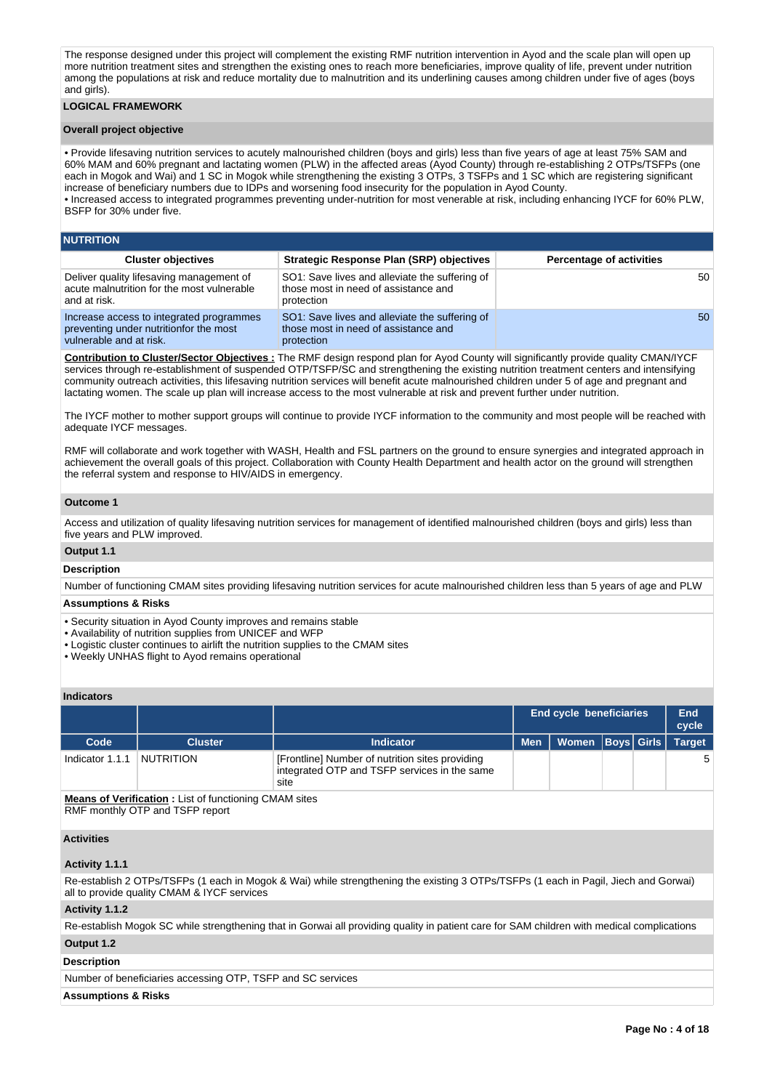The response designed under this project will complement the existing RMF nutrition intervention in Ayod and the scale plan will open up more nutrition treatment sites and strengthen the existing ones to reach more beneficiaries, improve quality of life, prevent under nutrition among the populations at risk and reduce mortality due to malnutrition and its underlining causes among children under five of ages (boys and girls).

### **LOGICAL FRAMEWORK**

#### **Overall project objective**

• Provide lifesaving nutrition services to acutely malnourished children (boys and girls) less than five years of age at least 75% SAM and 60% MAM and 60% pregnant and lactating women (PLW) in the affected areas (Ayod County) through re-establishing 2 OTPs/TSFPs (one each in Mogok and Wai) and 1 SC in Mogok while strengthening the existing 3 OTPs, 3 TSFPs and 1 SC which are registering significant increase of beneficiary numbers due to IDPs and worsening food insecurity for the population in Ayod County. • Increased access to integrated programmes preventing under-nutrition for most venerable at risk, including enhancing IYCF for 60% PLW, BSFP for 30% under five.

| <b>NUTRITION</b>                                                                                              |                                                                                                      |                                 |  |  |  |  |  |  |  |
|---------------------------------------------------------------------------------------------------------------|------------------------------------------------------------------------------------------------------|---------------------------------|--|--|--|--|--|--|--|
| <b>Cluster objectives</b>                                                                                     | Strategic Response Plan (SRP) objectives                                                             | <b>Percentage of activities</b> |  |  |  |  |  |  |  |
| Deliver quality lifesaving management of<br>acute malnutrition for the most vulnerable<br>and at risk.        | SO1: Save lives and alleviate the suffering of<br>those most in need of assistance and<br>protection | 50                              |  |  |  |  |  |  |  |
| Increase access to integrated programmes<br>preventing under nutritionfor the most<br>vulnerable and at risk. | SO1: Save lives and alleviate the suffering of<br>those most in need of assistance and<br>protection | 50                              |  |  |  |  |  |  |  |

**Contribution to Cluster/Sector Objectives :** The RMF design respond plan for Ayod County will significantly provide quality CMAN/IYCF services through re-establishment of suspended OTP/TSFP/SC and strengthening the existing nutrition treatment centers and intensifying community outreach activities, this lifesaving nutrition services will benefit acute malnourished children under 5 of age and pregnant and lactating women. The scale up plan will increase access to the most vulnerable at risk and prevent further under nutrition.

The IYCF mother to mother support groups will continue to provide IYCF information to the community and most people will be reached with adequate IYCF messages.

RMF will collaborate and work together with WASH, Health and FSL partners on the ground to ensure synergies and integrated approach in achievement the overall goals of this project. Collaboration with County Health Department and health actor on the ground will strengthen the referral system and response to HIV/AIDS in emergency.

#### **Outcome 1**

Access and utilization of quality lifesaving nutrition services for management of identified malnourished children (boys and girls) less than five years and PLW improved.

# **Output 1.1**

# **Description**

Number of functioning CMAM sites providing lifesaving nutrition services for acute malnourished children less than 5 years of age and PLW

### **Assumptions & Risks**

- Security situation in Ayod County improves and remains stable
- Availability of nutrition supplies from UNICEF and WFP
- Logistic cluster continues to airlift the nutrition supplies to the CMAM sites
- Weekly UNHAS flight to Ayod remains operational

#### **Indicators**

|                 |                |                                                                                                         | <b>End cycle beneficiaries</b> |                  |  |  | End<br>cycle  |
|-----------------|----------------|---------------------------------------------------------------------------------------------------------|--------------------------------|------------------|--|--|---------------|
| Code            | <b>Cluster</b> | <b>Indicator</b>                                                                                        | Men <sup>1</sup>               | Women Boys Girls |  |  | <b>Target</b> |
| Indicator 1.1.1 | NUTRITION      | [Frontline] Number of nutrition sites providing<br>integrated OTP and TSFP services in the same<br>site |                                |                  |  |  | 5             |

**Means of Verification :** List of functioning CMAM sites RMF monthly OTP and TSFP report

#### **Activities**

#### **Activity 1.1.1**

Re-establish 2 OTPs/TSFPs (1 each in Mogok & Wai) while strengthening the existing 3 OTPs/TSFPs (1 each in Pagil, Jiech and Gorwai) all to provide quality CMAM & IYCF services

#### **Activity 1.1.2**

Re-establish Mogok SC while strengthening that in Gorwai all providing quality in patient care for SAM children with medical complications

#### **Output 1.2**

#### **Description**

Number of beneficiaries accessing OTP, TSFP and SC services

#### **Assumptions & Risks**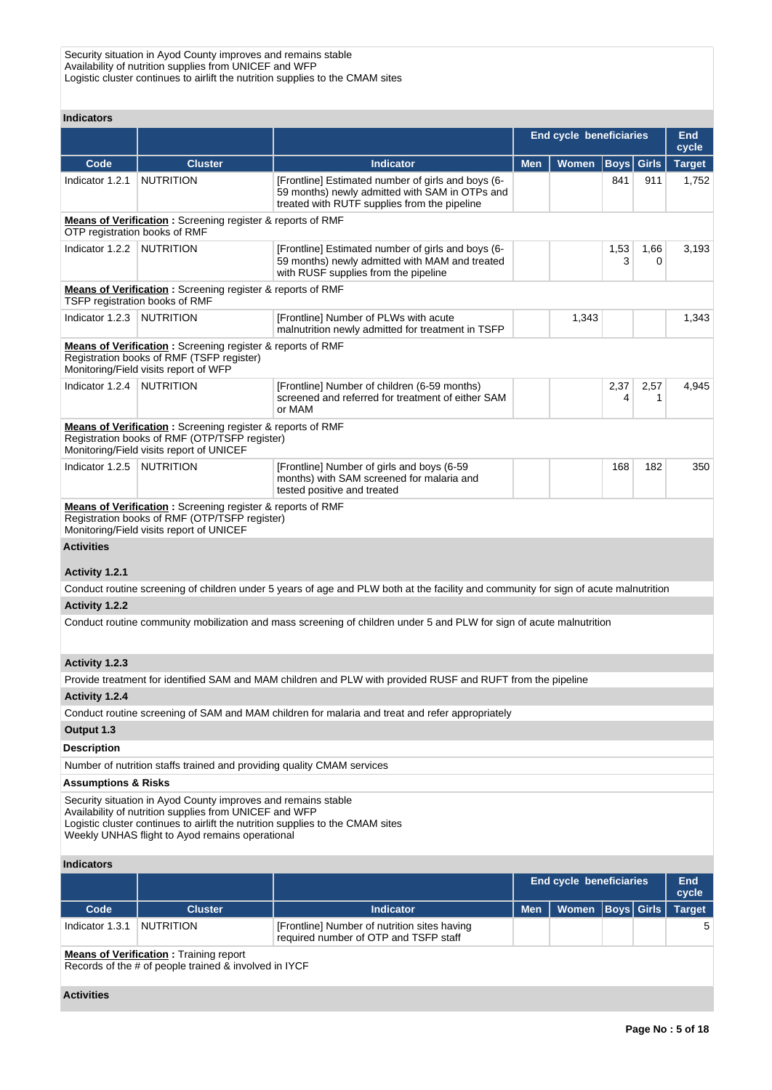Security situation in Ayod County improves and remains stable Availability of nutrition supplies from UNICEF and WFP Logistic cluster continues to airlift the nutrition supplies to the CMAM sites

## **Indicators**

|                                |                                                                                                                                                                                                                                                              |                                                                                                                                                      | <b>End cycle beneficiaries</b> | <b>End</b><br>cycle     |             |              |                     |
|--------------------------------|--------------------------------------------------------------------------------------------------------------------------------------------------------------------------------------------------------------------------------------------------------------|------------------------------------------------------------------------------------------------------------------------------------------------------|--------------------------------|-------------------------|-------------|--------------|---------------------|
| Code                           | <b>Cluster</b>                                                                                                                                                                                                                                               | <b>Indicator</b>                                                                                                                                     | <b>Men</b>                     | Women                   | <b>Boys</b> | Girls        | <b>Target</b>       |
| Indicator 1.2.1                | <b>NUTRITION</b>                                                                                                                                                                                                                                             | [Frontline] Estimated number of girls and boys (6-<br>59 months) newly admitted with SAM in OTPs and<br>treated with RUTF supplies from the pipeline |                                |                         | 841         | 911          | 1,752               |
| OTP registration books of RMF  | <b>Means of Verification:</b> Screening register & reports of RMF                                                                                                                                                                                            |                                                                                                                                                      |                                |                         |             |              |                     |
| Indicator 1.2.2                | <b>NUTRITION</b>                                                                                                                                                                                                                                             | [Frontline] Estimated number of girls and boys (6-<br>59 months) newly admitted with MAM and treated<br>with RUSF supplies from the pipeline         |                                |                         | 1,53<br>3   | 1,66<br>0    | 3,193               |
|                                | <b>Means of Verification:</b> Screening register & reports of RMF<br>TSFP registration books of RMF                                                                                                                                                          |                                                                                                                                                      |                                |                         |             |              |                     |
| Indicator 1.2.3                | NUTRITION                                                                                                                                                                                                                                                    | [Frontline] Number of PLWs with acute<br>malnutrition newly admitted for treatment in TSFP                                                           |                                | 1,343                   |             |              | 1,343               |
|                                | <b>Means of Verification:</b> Screening register & reports of RMF<br>Registration books of RMF (TSFP register)<br>Monitoring/Field visits report of WFP                                                                                                      |                                                                                                                                                      |                                |                         |             |              |                     |
| Indicator 1.2.4                | <b>NUTRITION</b>                                                                                                                                                                                                                                             | [Frontline] Number of children (6-59 months)<br>screened and referred for treatment of either SAM<br>or MAM                                          |                                |                         | 2,37<br>4   | 2,57<br>1    | 4,945               |
|                                | Means of Verification: Screening register & reports of RMF<br>Registration books of RMF (OTP/TSFP register)<br>Monitoring/Field visits report of UNICEF                                                                                                      |                                                                                                                                                      |                                |                         |             |              |                     |
| Indicator 1.2.5                | <b>NUTRITION</b>                                                                                                                                                                                                                                             | [Frontline] Number of girls and boys (6-59<br>months) with SAM screened for malaria and<br>tested positive and treated                               |                                |                         | 168         | 182          | 350                 |
|                                | Means of Verification: Screening register & reports of RMF<br>Registration books of RMF (OTP/TSFP register)<br>Monitoring/Field visits report of UNICEF                                                                                                      |                                                                                                                                                      |                                |                         |             |              |                     |
| <b>Activities</b>              |                                                                                                                                                                                                                                                              |                                                                                                                                                      |                                |                         |             |              |                     |
| Activity 1.2.1                 |                                                                                                                                                                                                                                                              |                                                                                                                                                      |                                |                         |             |              |                     |
|                                |                                                                                                                                                                                                                                                              | Conduct routine screening of children under 5 years of age and PLW both at the facility and community for sign of acute malnutrition                 |                                |                         |             |              |                     |
| Activity 1.2.2                 |                                                                                                                                                                                                                                                              |                                                                                                                                                      |                                |                         |             |              |                     |
|                                |                                                                                                                                                                                                                                                              | Conduct routine community mobilization and mass screening of children under 5 and PLW for sign of acute malnutrition                                 |                                |                         |             |              |                     |
| Activity 1.2.3                 |                                                                                                                                                                                                                                                              |                                                                                                                                                      |                                |                         |             |              |                     |
|                                |                                                                                                                                                                                                                                                              | Provide treatment for identified SAM and MAM children and PLW with provided RUSF and RUFT from the pipeline                                          |                                |                         |             |              |                     |
| Activity 1.2.4                 |                                                                                                                                                                                                                                                              |                                                                                                                                                      |                                |                         |             |              |                     |
|                                |                                                                                                                                                                                                                                                              | Conduct routine screening of SAM and MAM children for malaria and treat and refer appropriately                                                      |                                |                         |             |              |                     |
| Output 1.3                     |                                                                                                                                                                                                                                                              |                                                                                                                                                      |                                |                         |             |              |                     |
| <b>Description</b>             |                                                                                                                                                                                                                                                              |                                                                                                                                                      |                                |                         |             |              |                     |
|                                | Number of nutrition staffs trained and providing quality CMAM services                                                                                                                                                                                       |                                                                                                                                                      |                                |                         |             |              |                     |
| <b>Assumptions &amp; Risks</b> |                                                                                                                                                                                                                                                              |                                                                                                                                                      |                                |                         |             |              |                     |
|                                | Security situation in Ayod County improves and remains stable<br>Availability of nutrition supplies from UNICEF and WFP<br>Logistic cluster continues to airlift the nutrition supplies to the CMAM sites<br>Weekly UNHAS flight to Ayod remains operational |                                                                                                                                                      |                                |                         |             |              |                     |
| <b>Indicators</b>              |                                                                                                                                                                                                                                                              |                                                                                                                                                      |                                |                         |             |              |                     |
|                                |                                                                                                                                                                                                                                                              |                                                                                                                                                      |                                | End cycle beneficiaries |             |              | <b>End</b><br>cycle |
| Code                           | <b>Cluster</b>                                                                                                                                                                                                                                               | <b>Indicator</b>                                                                                                                                     | <b>Men</b>                     | <b>Women</b>            | <b>Boys</b> | <b>Girls</b> | <b>Target</b>       |
| Indicator 1.3.1                | <b>NUTRITION</b>                                                                                                                                                                                                                                             | [Frontline] Number of nutrition sites having<br>required number of OTP and TSFP staff                                                                |                                |                         |             |              | 5                   |
|                                | <b>Means of Verification:</b> Training report<br>Records of the # of people trained & involved in IYCF                                                                                                                                                       |                                                                                                                                                      |                                |                         |             |              |                     |
| <b>Activities</b>              |                                                                                                                                                                                                                                                              |                                                                                                                                                      |                                |                         |             |              |                     |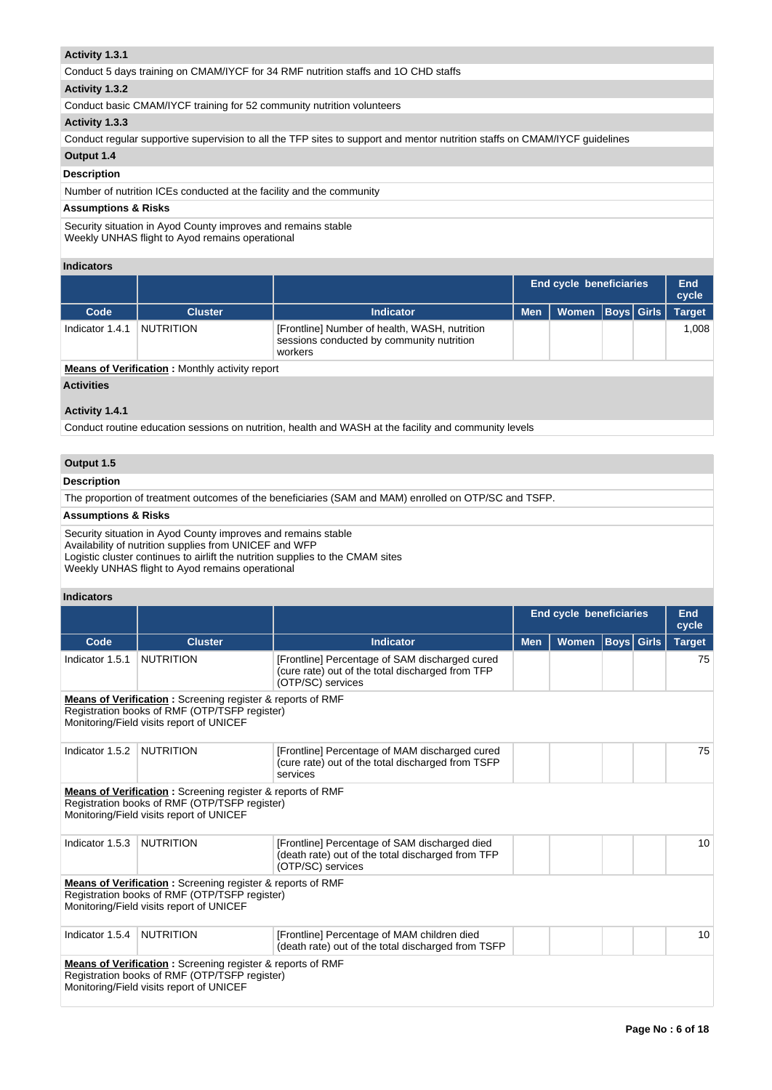## **Activity 1.3.1**

Conduct 5 days training on CMAM/IYCF for 34 RMF nutrition staffs and 1O CHD staffs

#### **Activity 1.3.2**

Conduct basic CMAM/IYCF training for 52 community nutrition volunteers

#### **Activity 1.3.3**

Conduct regular supportive supervision to all the TFP sites to support and mentor nutrition staffs on CMAM/IYCF guidelines

# **Output 1.4**

### **Description**

Number of nutrition ICEs conducted at the facility and the community

#### **Assumptions & Risks**

Security situation in Ayod County improves and remains stable Weekly UNHAS flight to Ayod remains operational

#### **Indicators**

|                                                       |                |                                                                                                       | <b>End cycle beneficiaries</b> |                      |  |  | End<br>cycle  |
|-------------------------------------------------------|----------------|-------------------------------------------------------------------------------------------------------|--------------------------------|----------------------|--|--|---------------|
| Code                                                  | <b>Cluster</b> | <b>Indicator</b>                                                                                      | <b>Men</b>                     | Women   Boys   Girls |  |  | <b>Target</b> |
| Indicator 1.4.1                                       | NUTRITION      | [Frontline] Number of health, WASH, nutrition<br>sessions conducted by community nutrition<br>workers |                                |                      |  |  | 1.008         |
| <b>Means of Verification:</b> Monthly activity report |                |                                                                                                       |                                |                      |  |  |               |

**Activities**

### **Activity 1.4.1**

Conduct routine education sessions on nutrition, health and WASH at the facility and community levels

### **Output 1.5**

**Description**

The proportion of treatment outcomes of the beneficiaries (SAM and MAM) enrolled on OTP/SC and TSFP.

### **Assumptions & Risks**

Security situation in Ayod County improves and remains stable Availability of nutrition supplies from UNICEF and WFP Logistic cluster continues to airlift the nutrition supplies to the CMAM sites Weekly UNHAS flight to Ayod remains operational

#### **Indicators**

|                 |                                                                                                                                                                |                                                                                                                         | <b>End cycle beneficiaries</b> |              |                   |  | <b>End</b><br>cycle |  |  |  |
|-----------------|----------------------------------------------------------------------------------------------------------------------------------------------------------------|-------------------------------------------------------------------------------------------------------------------------|--------------------------------|--------------|-------------------|--|---------------------|--|--|--|
| Code            | <b>Cluster</b>                                                                                                                                                 | <b>Indicator</b>                                                                                                        | <b>Men</b>                     | <b>Women</b> | <b>Boys Girls</b> |  | <b>Target</b>       |  |  |  |
| Indicator 1.5.1 | <b>NUTRITION</b>                                                                                                                                               | [Frontline] Percentage of SAM discharged cured<br>(cure rate) out of the total discharged from TFP<br>(OTP/SC) services |                                |              |                   |  | 75                  |  |  |  |
|                 | <b>Means of Verification:</b> Screening register & reports of RMF<br>Registration books of RMF (OTP/TSFP register)<br>Monitoring/Field visits report of UNICEF |                                                                                                                         |                                |              |                   |  |                     |  |  |  |
| Indicator 1.5.2 | <b>NUTRITION</b>                                                                                                                                               | [Frontline] Percentage of MAM discharged cured<br>(cure rate) out of the total discharged from TSFP<br>services         |                                |              |                   |  | 75                  |  |  |  |
|                 | Means of Verification: Screening register & reports of RMF<br>Registration books of RMF (OTP/TSFP register)<br>Monitoring/Field visits report of UNICEF        |                                                                                                                         |                                |              |                   |  |                     |  |  |  |
| Indicator 1.5.3 | <b>NUTRITION</b>                                                                                                                                               | [Frontline] Percentage of SAM discharged died<br>(death rate) out of the total discharged from TFP<br>(OTP/SC) services |                                |              |                   |  | 10                  |  |  |  |
|                 | <b>Means of Verification:</b> Screening register & reports of RMF<br>Registration books of RMF (OTP/TSFP register)<br>Monitoring/Field visits report of UNICEF |                                                                                                                         |                                |              |                   |  |                     |  |  |  |
| Indicator 1.5.4 | <b>NUTRITION</b>                                                                                                                                               | [Frontline] Percentage of MAM children died<br>(death rate) out of the total discharged from TSFP                       |                                |              |                   |  | 10                  |  |  |  |
|                 | Means of Verification: Screening register & reports of RMF<br>Registration books of RMF (OTP/TSFP register)<br>Monitoring/Field visits report of UNICEF        |                                                                                                                         |                                |              |                   |  |                     |  |  |  |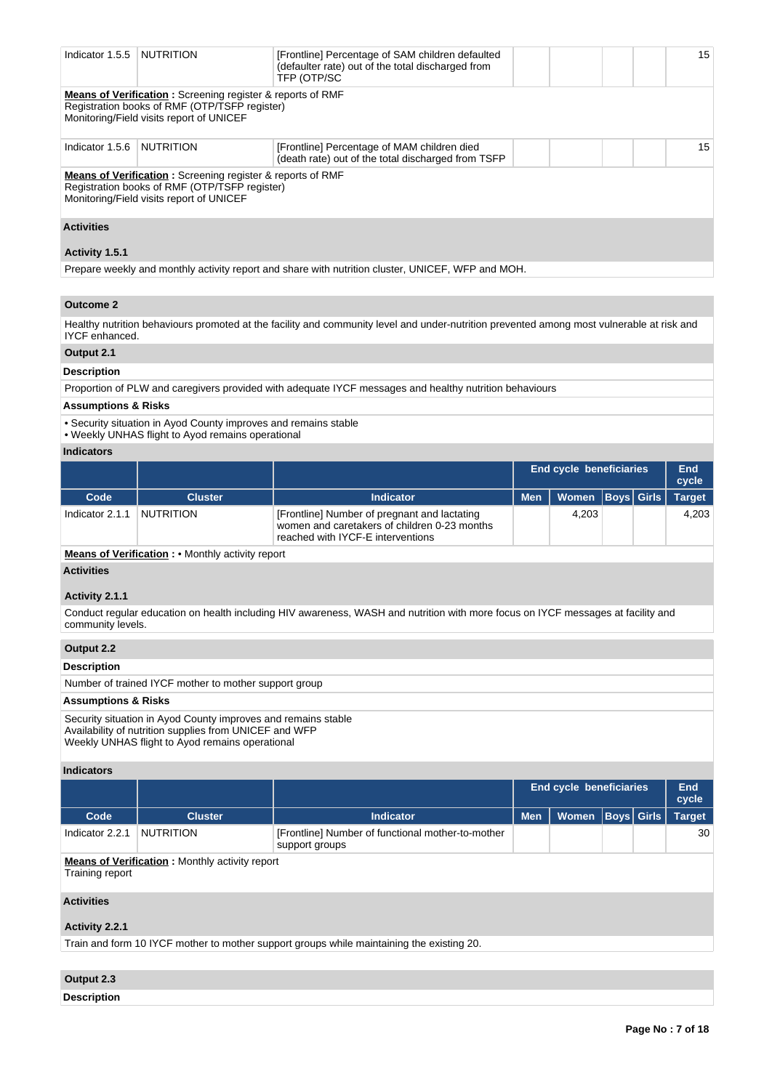| Indicator 1.5.5       | <b>NUTRITION</b>                                                                                                                                               | [Frontline] Percentage of SAM children defaulted<br>(defaulter rate) out of the total discharged from<br>TFP (OTP/SC                      |  |  | 15 |
|-----------------------|----------------------------------------------------------------------------------------------------------------------------------------------------------------|-------------------------------------------------------------------------------------------------------------------------------------------|--|--|----|
|                       | <b>Means of Verification:</b> Screening register & reports of RMF<br>Registration books of RMF (OTP/TSFP register)<br>Monitoring/Field visits report of UNICEF |                                                                                                                                           |  |  |    |
| Indicator 1.5.6       | <b>NUTRITION</b>                                                                                                                                               | [Frontline] Percentage of MAM children died<br>(death rate) out of the total discharged from TSFP                                         |  |  | 15 |
|                       | <b>Means of Verification:</b> Screening register & reports of RMF<br>Registration books of RMF (OTP/TSFP register)<br>Monitoring/Field visits report of UNICEF |                                                                                                                                           |  |  |    |
| <b>Activities</b>     |                                                                                                                                                                |                                                                                                                                           |  |  |    |
| Activity 1.5.1        |                                                                                                                                                                |                                                                                                                                           |  |  |    |
|                       |                                                                                                                                                                | Prepare weekly and monthly activity report and share with nutrition cluster, UNICEF, WFP and MOH.                                         |  |  |    |
|                       |                                                                                                                                                                |                                                                                                                                           |  |  |    |
| <b>Outcome 2</b>      |                                                                                                                                                                |                                                                                                                                           |  |  |    |
| <b>IYCF</b> enhanced. |                                                                                                                                                                | Healthy nutrition behaviours promoted at the facility and community level and under-nutrition prevented among most vulnerable at risk and |  |  |    |

### **Output 2.1**

#### **Description**

Proportion of PLW and caregivers provided with adequate IYCF messages and healthy nutrition behaviours

## **Assumptions & Risks**

• Security situation in Ayod County improves and remains stable

• Weekly UNHAS flight to Ayod remains operational

# **Indicators**

|                 |                  |                                                                                                                                   | <b>End cycle beneficiaries</b> |                      |  | End<br>cycle |               |
|-----------------|------------------|-----------------------------------------------------------------------------------------------------------------------------------|--------------------------------|----------------------|--|--------------|---------------|
| Code            | <b>Cluster</b>   | Indicator                                                                                                                         | <b>Men</b>                     | Women   Boys   Girls |  |              | <b>Target</b> |
| Indicator 2.1.1 | <b>NUTRITION</b> | [Frontline] Number of pregnant and lactating<br>women and caretakers of children 0-23 months<br>reached with IYCF-E interventions |                                | 4.203                |  |              | 4.203         |

### **Means of Verification :** • Monthly activity report

### **Activities**

### **Activity 2.1.1**

Conduct regular education on health including HIV awareness, WASH and nutrition with more focus on IYCF messages at facility and community levels.

# **Output 2.2**

#### **Description**

Number of trained IYCF mother to mother support group

### **Assumptions & Risks**

Security situation in Ayod County improves and remains stable Availability of nutrition supplies from UNICEF and WFP Weekly UNHAS flight to Ayod remains operational

## **Indicators**

|                                                                          |                |                                                                     |            | <b>End cycle beneficiaries</b> |  |  | End<br>cycle  |  |
|--------------------------------------------------------------------------|----------------|---------------------------------------------------------------------|------------|--------------------------------|--|--|---------------|--|
| Code                                                                     | <b>Cluster</b> | <b>Indicator</b>                                                    | <b>Men</b> | Women   Boys   Girls           |  |  | <b>Target</b> |  |
| Indicator 2.2.1                                                          | NUTRITION      | [Frontline] Number of functional mother-to-mother<br>support groups |            |                                |  |  | 30            |  |
| <b>Means of Verification:</b> Monthly activity report<br>Training report |                |                                                                     |            |                                |  |  |               |  |

# **Activities**

# **Activity 2.2.1**

Train and form 10 IYCF mother to mother support groups while maintaining the existing 20.

# **Output 2.3**

**Description**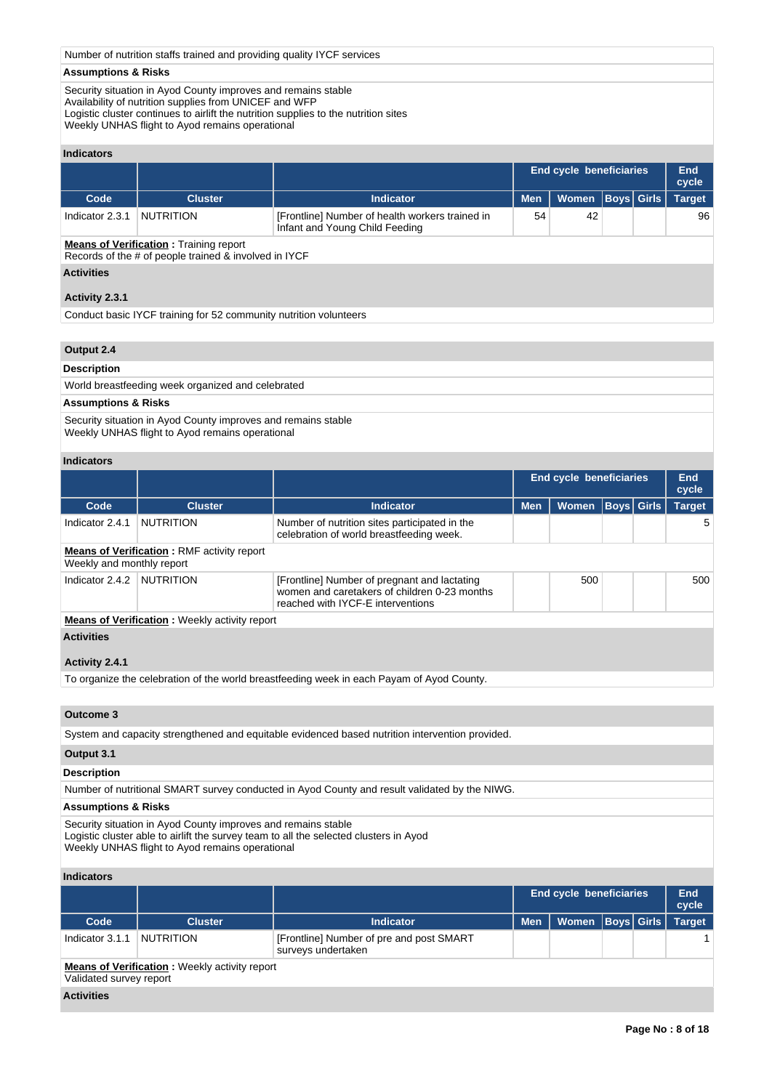#### Number of nutrition staffs trained and providing quality IYCF services

#### **Assumptions & Risks**

Security situation in Ayod County improves and remains stable Availability of nutrition supplies from UNICEF and WFP Logistic cluster continues to airlift the nutrition supplies to the nutrition sites Weekly UNHAS flight to Ayod remains operational

### **Indicators**

|                                               |                  |                                                                                   |            | <b>End cycle beneficiaries</b> |  |  |               |  |  |  |
|-----------------------------------------------|------------------|-----------------------------------------------------------------------------------|------------|--------------------------------|--|--|---------------|--|--|--|
| Code                                          | <b>Cluster</b>   | <b>Indicator</b>                                                                  | <b>Men</b> | Women  Boys  Girls             |  |  | <b>Target</b> |  |  |  |
| Indicator 2.3.1                               | <b>NUTRITION</b> | [Frontline] Number of health workers trained in<br>Infant and Young Child Feeding | 54         | 42                             |  |  | 96            |  |  |  |
| <b>Means of Verification:</b> Training report |                  |                                                                                   |            |                                |  |  |               |  |  |  |

Records of the # of people trained & involved in IYCF

#### **Activities**

## **Activity 2.3.1**

Conduct basic IYCF training for 52 community nutrition volunteers

### **Output 2.4**

**Description** World breastfeeding week organized and celebrated **Assumptions & Risks** Security situation in Ayod County improves and remains stable Weekly UNHAS flight to Ayod remains operational

#### **Indicators**

|                                                                                |                                                      |                                                                                                                                   |            | <b>End cycle beneficiaries</b> |                   |  | End<br>cycle  |  |
|--------------------------------------------------------------------------------|------------------------------------------------------|-----------------------------------------------------------------------------------------------------------------------------------|------------|--------------------------------|-------------------|--|---------------|--|
| Code                                                                           | <b>Cluster</b>                                       | <b>Indicator</b>                                                                                                                  | <b>Men</b> | <b>Women</b>                   | <b>Boys Girls</b> |  | <b>Target</b> |  |
| Indicator 2.4.1                                                                | <b>NUTRITION</b>                                     | Number of nutrition sites participated in the<br>celebration of world breastfeeding week.                                         |            |                                |                   |  | 5             |  |
| <b>Means of Verification: RMF activity report</b><br>Weekly and monthly report |                                                      |                                                                                                                                   |            |                                |                   |  |               |  |
| Indicator 2.4.2                                                                | <b>NUTRITION</b>                                     | [Frontline] Number of pregnant and lactating<br>women and caretakers of children 0-23 months<br>reached with IYCF-E interventions |            | 500                            |                   |  | 500           |  |
|                                                                                | <b>Means of Verification:</b> Weekly activity report |                                                                                                                                   |            |                                |                   |  |               |  |
| <b>Activities</b>                                                              |                                                      |                                                                                                                                   |            |                                |                   |  |               |  |
| Activity 2.4.1                                                                 |                                                      |                                                                                                                                   |            |                                |                   |  |               |  |

To organize the celebration of the world breastfeeding week in each Payam of Ayod County.

### **Outcome 3**

System and capacity strengthened and equitable evidenced based nutrition intervention provided.

### **Output 3.1**

#### **Description**

Number of nutritional SMART survey conducted in Ayod County and result validated by the NIWG.

# **Assumptions & Risks**

Security situation in Ayod County improves and remains stable Logistic cluster able to airlift the survey team to all the selected clusters in Ayod Weekly UNHAS flight to Ayod remains operational

### **Indicators**

|                 |                |                                                                |            | End cycle beneficiaries |  | End<br>cycle  |
|-----------------|----------------|----------------------------------------------------------------|------------|-------------------------|--|---------------|
| Code            | <b>Cluster</b> | <b>Indicator</b>                                               | <b>Men</b> | Women   Boys   Girls    |  | <b>Target</b> |
| Indicator 3.1.1 | NUTRITION      | [Frontline] Number of pre and post SMART<br>surveys undertaken |            |                         |  |               |
| --              | $\cdots$       |                                                                |            |                         |  |               |

**Means of Verification :** Weekly activity report

# Validated survey report

**Activities**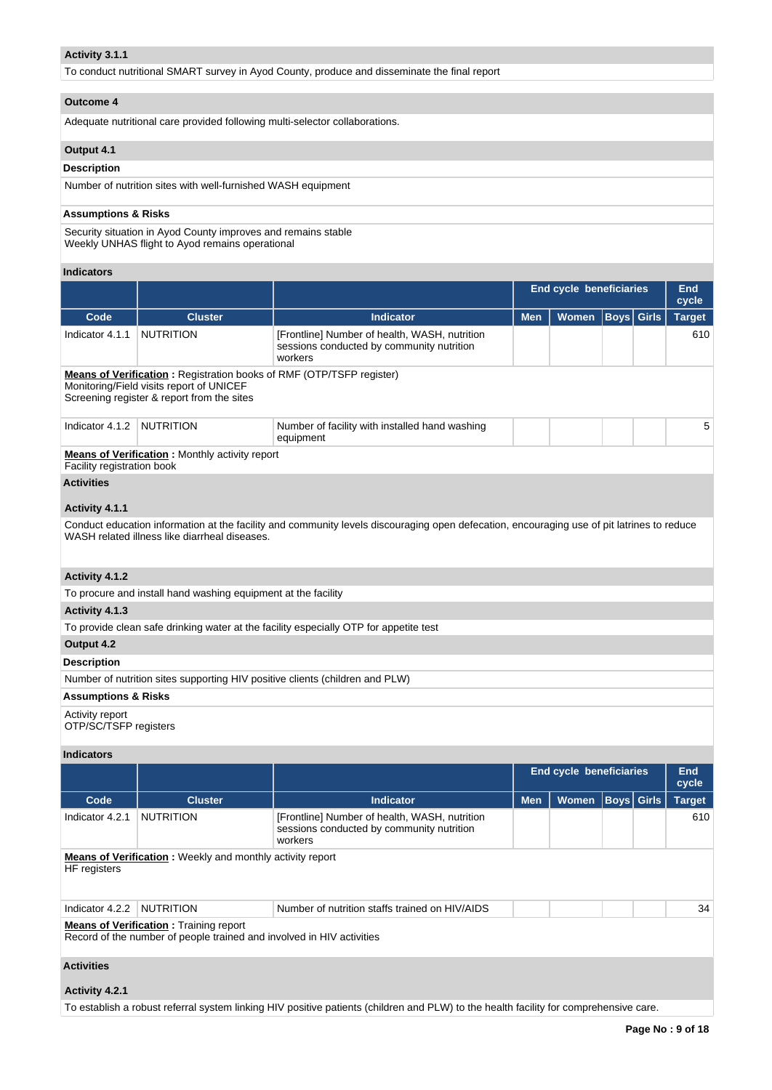## **Activity 3.1.1**

To conduct nutritional SMART survey in Ayod County, produce and disseminate the final report

### **Outcome 4**

Adequate nutritional care provided following multi-selector collaborations.

# **Output 4.1**

## **Description**

Number of nutrition sites with well-furnished WASH equipment

#### **Assumptions & Risks**

Security situation in Ayod County improves and remains stable Weekly UNHAS flight to Ayod remains operational

### **Indicators**

|                                          |                                                                                                                                                                |                                                                                                                                            | <b>End cycle beneficiaries</b> | <b>End</b><br>cycle            |                   |  |               |
|------------------------------------------|----------------------------------------------------------------------------------------------------------------------------------------------------------------|--------------------------------------------------------------------------------------------------------------------------------------------|--------------------------------|--------------------------------|-------------------|--|---------------|
| Code                                     | <b>Cluster</b>                                                                                                                                                 | <b>Indicator</b>                                                                                                                           | <b>Men</b>                     | <b>Women</b>                   | <b>Boys</b> Girls |  | <b>Target</b> |
| Indicator 4.1.1                          | <b>NUTRITION</b>                                                                                                                                               | [Frontline] Number of health, WASH, nutrition<br>sessions conducted by community nutrition<br>workers                                      |                                |                                |                   |  | 610           |
|                                          | Means of Verification: Registration books of RMF (OTP/TSFP register)<br>Monitoring/Field visits report of UNICEF<br>Screening register & report from the sites |                                                                                                                                            |                                |                                |                   |  |               |
| Indicator 4.1.2                          | <b>NUTRITION</b>                                                                                                                                               | Number of facility with installed hand washing<br>equipment                                                                                |                                |                                |                   |  | 5             |
| Facility registration book               | <b>Means of Verification:</b> Monthly activity report                                                                                                          |                                                                                                                                            |                                |                                |                   |  |               |
| <b>Activities</b>                        |                                                                                                                                                                |                                                                                                                                            |                                |                                |                   |  |               |
| Activity 4.1.1                           |                                                                                                                                                                |                                                                                                                                            |                                |                                |                   |  |               |
|                                          | WASH related illness like diarrheal diseases.                                                                                                                  | Conduct education information at the facility and community levels discouraging open defecation, encouraging use of pit latrines to reduce |                                |                                |                   |  |               |
| Activity 4.1.2                           |                                                                                                                                                                |                                                                                                                                            |                                |                                |                   |  |               |
|                                          | To procure and install hand washing equipment at the facility                                                                                                  |                                                                                                                                            |                                |                                |                   |  |               |
| Activity 4.1.3                           |                                                                                                                                                                |                                                                                                                                            |                                |                                |                   |  |               |
|                                          |                                                                                                                                                                | To provide clean safe drinking water at the facility especially OTP for appetite test                                                      |                                |                                |                   |  |               |
| Output 4.2                               |                                                                                                                                                                |                                                                                                                                            |                                |                                |                   |  |               |
| <b>Description</b>                       |                                                                                                                                                                |                                                                                                                                            |                                |                                |                   |  |               |
|                                          |                                                                                                                                                                | Number of nutrition sites supporting HIV positive clients (children and PLW)                                                               |                                |                                |                   |  |               |
| <b>Assumptions &amp; Risks</b>           |                                                                                                                                                                |                                                                                                                                            |                                |                                |                   |  |               |
| Activity report<br>OTP/SC/TSFP registers |                                                                                                                                                                |                                                                                                                                            |                                |                                |                   |  |               |
| <b>Indicators</b>                        |                                                                                                                                                                |                                                                                                                                            |                                |                                |                   |  |               |
|                                          |                                                                                                                                                                |                                                                                                                                            |                                | <b>End cycle beneficiaries</b> |                   |  | End<br>cycle  |
| Code                                     | <b>Cluster</b>                                                                                                                                                 | <b>Indicator</b>                                                                                                                           | <b>Men</b>                     | Women                          | <b>Boys</b> Girls |  | <b>Target</b> |
| Indicator 4.2.1                          | <b>NUTRITION</b>                                                                                                                                               | [Frontline] Number of health, WASH, nutrition<br>sessions conducted by community nutrition<br>workers                                      |                                |                                |                   |  | 610           |
| HF registers                             | <b>Means of Verification:</b> Weekly and monthly activity report                                                                                               |                                                                                                                                            |                                |                                |                   |  |               |
| Indicator 4.2.2                          | <b>NUTRITION</b>                                                                                                                                               | Number of nutrition staffs trained on HIV/AIDS                                                                                             |                                |                                |                   |  | 34            |
|                                          | <b>Means of Verification:</b> Training report<br>Record of the number of people trained and involved in HIV activities                                         |                                                                                                                                            |                                |                                |                   |  |               |
| <b>Activities</b>                        |                                                                                                                                                                |                                                                                                                                            |                                |                                |                   |  |               |
| Activity 4.2.1                           |                                                                                                                                                                |                                                                                                                                            |                                |                                |                   |  |               |
|                                          |                                                                                                                                                                | To establish a robust referral system linking HIV positive patients (children and PLW) to the health facility for comprehensive care.      |                                |                                |                   |  |               |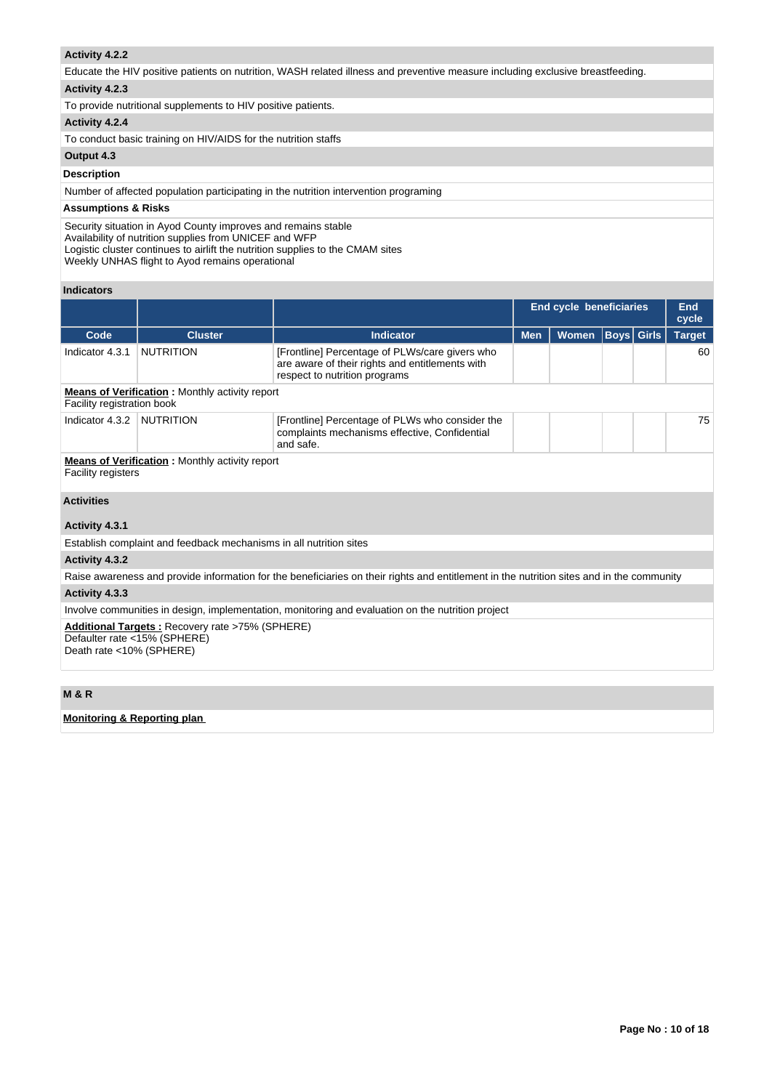## **Activity 4.2.2**

Educate the HIV positive patients on nutrition, WASH related illness and preventive measure including exclusive breastfeeding. **Activity 4.2.3** 

To provide nutritional supplements to HIV positive patients.

### **Activity 4.2.4**

To conduct basic training on HIV/AIDS for the nutrition staffs

# **Output 4.3**

### **Description**

Number of affected population participating in the nutrition intervention programing

## **Assumptions & Risks**

Security situation in Ayod County improves and remains stable Availability of nutrition supplies from UNICEF and WFP Logistic cluster continues to airlift the nutrition supplies to the CMAM sites Weekly UNHAS flight to Ayod remains operational

## **Indicators**

|                                                                                     |                                                                    |                                                                                                                                           |            | <b>End cycle beneficiaries</b> |                   | <b>End</b><br>cycle |
|-------------------------------------------------------------------------------------|--------------------------------------------------------------------|-------------------------------------------------------------------------------------------------------------------------------------------|------------|--------------------------------|-------------------|---------------------|
| Code                                                                                | <b>Cluster</b>                                                     | Indicator                                                                                                                                 | <b>Men</b> | Women                          | <b>Boys Girls</b> | <b>Target</b>       |
| Indicator 4.3.1                                                                     | <b>NUTRITION</b>                                                   | [Frontline] Percentage of PLWs/care givers who<br>are aware of their rights and entitlements with<br>respect to nutrition programs        |            |                                |                   | 60                  |
| <b>Means of Verification:</b> Monthly activity report<br>Facility registration book |                                                                    |                                                                                                                                           |            |                                |                   |                     |
| Indicator 4.3.2                                                                     | <b>NUTRITION</b>                                                   | [Frontline] Percentage of PLWs who consider the<br>complaints mechanisms effective, Confidential<br>and safe.                             |            |                                |                   | 75                  |
| <b>Facility registers</b>                                                           | <b>Means of Verification:</b> Monthly activity report              |                                                                                                                                           |            |                                |                   |                     |
| <b>Activities</b>                                                                   |                                                                    |                                                                                                                                           |            |                                |                   |                     |
| Activity 4.3.1                                                                      |                                                                    |                                                                                                                                           |            |                                |                   |                     |
|                                                                                     | Establish complaint and feedback mechanisms in all nutrition sites |                                                                                                                                           |            |                                |                   |                     |
| Activity 4.3.2                                                                      |                                                                    |                                                                                                                                           |            |                                |                   |                     |
|                                                                                     |                                                                    | Raise awareness and provide information for the beneficiaries on their rights and entitlement in the nutrition sites and in the community |            |                                |                   |                     |
| Activity 4.3.3                                                                      |                                                                    |                                                                                                                                           |            |                                |                   |                     |
|                                                                                     |                                                                    | Involve communities in design, implementation, monitoring and evaluation on the nutrition project                                         |            |                                |                   |                     |
| Defaulter rate <15% (SPHERE)<br>Death rate <10% (SPHERE)                            | <b>Additional Targets: Recovery rate &gt;75% (SPHERE)</b>          |                                                                                                                                           |            |                                |                   |                     |

## **M & R**

# **Monitoring & Reporting plan**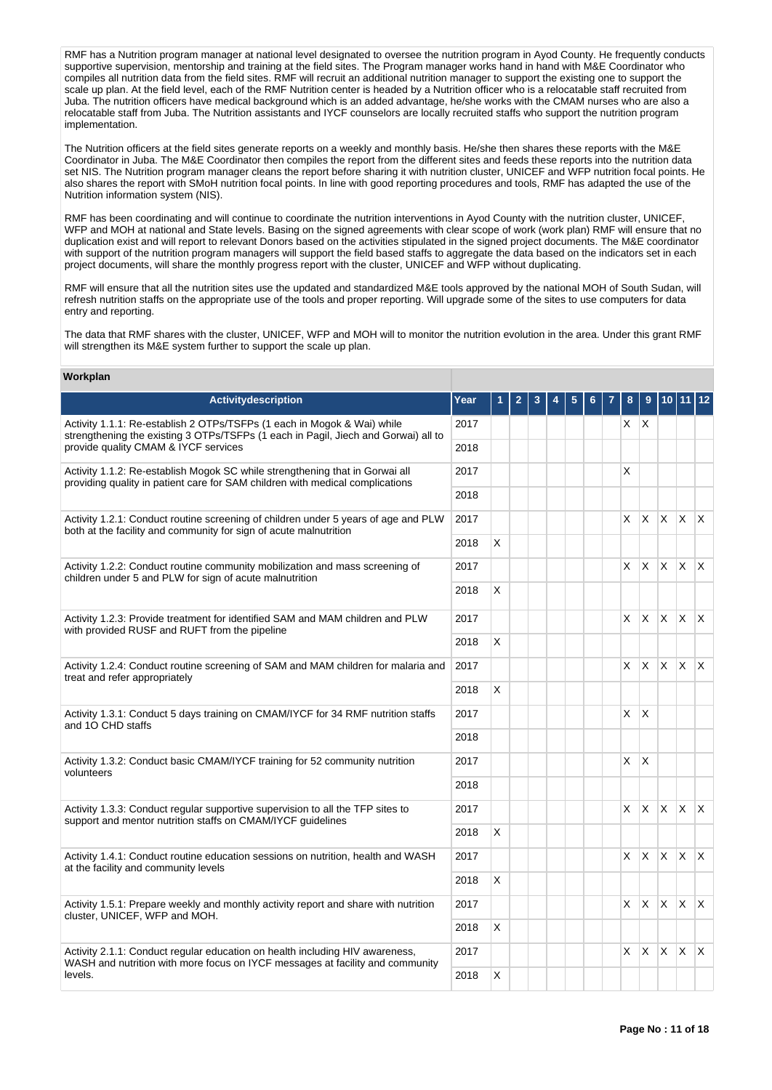RMF has a Nutrition program manager at national level designated to oversee the nutrition program in Avod County. He frequently conducts supportive supervision, mentorship and training at the field sites. The Program manager works hand in hand with M&E Coordinator who compiles all nutrition data from the field sites. RMF will recruit an additional nutrition manager to support the existing one to support the scale up plan. At the field level, each of the RMF Nutrition center is headed by a Nutrition officer who is a relocatable staff recruited from Juba. The nutrition officers have medical background which is an added advantage, he/she works with the CMAM nurses who are also a relocatable staff from Juba. The Nutrition assistants and IYCF counselors are locally recruited staffs who support the nutrition program implementation.

The Nutrition officers at the field sites generate reports on a weekly and monthly basis. He/she then shares these reports with the M&E Coordinator in Juba. The M&E Coordinator then compiles the report from the different sites and feeds these reports into the nutrition data set NIS. The Nutrition program manager cleans the report before sharing it with nutrition cluster, UNICEF and WFP nutrition focal points. He also shares the report with SMoH nutrition focal points. In line with good reporting procedures and tools, RMF has adapted the use of the Nutrition information system (NIS).

RMF has been coordinating and will continue to coordinate the nutrition interventions in Ayod County with the nutrition cluster, UNICEF, WFP and MOH at national and State levels. Basing on the signed agreements with clear scope of work (work plan) RMF will ensure that no duplication exist and will report to relevant Donors based on the activities stipulated in the signed project documents. The M&E coordinator with support of the nutrition program managers will support the field based staffs to aggregate the data based on the indicators set in each project documents, will share the monthly progress report with the cluster, UNICEF and WFP without duplicating.

RMF will ensure that all the nutrition sites use the updated and standardized M&E tools approved by the national MOH of South Sudan, will refresh nutrition staffs on the appropriate use of the tools and proper reporting. Will upgrade some of the sites to use computers for data entry and reporting.

The data that RMF shares with the cluster, UNICEF, WFP and MOH will to monitor the nutrition evolution in the area. Under this grant RMF will strengthen its M&E system further to support the scale up plan.

#### **Workplan**

| <b>Activitydescription</b>                                                                                                                                    | Year |   | $\mathbf{2}$ | 3 |  | 5 | 6 | 8       | 9                       |              | 10 11             | $ 12\rangle$ |
|---------------------------------------------------------------------------------------------------------------------------------------------------------------|------|---|--------------|---|--|---|---|---------|-------------------------|--------------|-------------------|--------------|
| Activity 1.1.1: Re-establish 2 OTPs/TSFPs (1 each in Mogok & Wai) while<br>strengthening the existing 3 OTPs/TSFPs (1 each in Pagil, Jiech and Gorwai) all to | 2017 |   |              |   |  |   |   | $X$ $X$ |                         |              |                   |              |
| provide quality CMAM & IYCF services                                                                                                                          |      |   |              |   |  |   |   |         |                         |              |                   |              |
| Activity 1.1.2: Re-establish Mogok SC while strengthening that in Gorwai all<br>providing quality in patient care for SAM children with medical complications |      |   |              |   |  |   |   | X       |                         |              |                   |              |
|                                                                                                                                                               |      |   |              |   |  |   |   |         |                         |              |                   |              |
| Activity 1.2.1: Conduct routine screening of children under 5 years of age and PLW<br>both at the facility and community for sign of acute malnutrition       | 2017 |   |              |   |  |   |   | X.      | X                       |              | $x \mid x \mid x$ |              |
|                                                                                                                                                               | 2018 | X |              |   |  |   |   |         |                         |              |                   |              |
| Activity 1.2.2: Conduct routine community mobilization and mass screening of<br>children under 5 and PLW for sign of acute malnutrition                       | 2017 |   |              |   |  |   |   | X.      | X.                      | $\mathsf{X}$ | $\mathsf{X}$      | $\mathsf{X}$ |
|                                                                                                                                                               | 2018 | X |              |   |  |   |   |         |                         |              |                   |              |
| Activity 1.2.3: Provide treatment for identified SAM and MAM children and PLW<br>with provided RUSF and RUFT from the pipeline                                | 2017 |   |              |   |  |   |   | X.      | X.                      | ΙX.          | $X$ $X$           |              |
|                                                                                                                                                               | 2018 | X |              |   |  |   |   |         |                         |              |                   |              |
| Activity 1.2.4: Conduct routine screening of SAM and MAM children for malaria and<br>treat and refer appropriately                                            |      |   |              |   |  |   |   |         | $x \mathsf{X}$          |              | $x \times x$      |              |
|                                                                                                                                                               |      | X |              |   |  |   |   |         |                         |              |                   |              |
| Activity 1.3.1: Conduct 5 days training on CMAM/IYCF for 34 RMF nutrition staffs<br>and 1O CHD staffs                                                         | 2017 |   |              |   |  |   |   | X.      | X                       |              |                   |              |
|                                                                                                                                                               | 2018 |   |              |   |  |   |   |         |                         |              |                   |              |
| Activity 1.3.2: Conduct basic CMAM/IYCF training for 52 community nutrition<br>volunteers                                                                     | 2017 |   |              |   |  |   |   | X.      | $\overline{\mathsf{x}}$ |              |                   |              |
|                                                                                                                                                               | 2018 |   |              |   |  |   |   |         |                         |              |                   |              |
| Activity 1.3.3: Conduct regular supportive supervision to all the TFP sites to<br>support and mentor nutrition staffs on CMAM/IYCF guidelines                 | 2017 |   |              |   |  |   |   | X.      | X                       | X.           | $X$ $X$           |              |
|                                                                                                                                                               | 2018 | X |              |   |  |   |   |         |                         |              |                   |              |
| Activity 1.4.1: Conduct routine education sessions on nutrition, health and WASH<br>at the facility and community levels                                      | 2017 |   |              |   |  |   |   | X.      | $\times$                |              | $x \mid x \mid x$ |              |
|                                                                                                                                                               | 2018 | X |              |   |  |   |   |         |                         |              |                   |              |
| Activity 1.5.1: Prepare weekly and monthly activity report and share with nutrition<br>cluster, UNICEF, WFP and MOH.                                          | 2017 |   |              |   |  |   |   | X.      | X                       | X.           | $X$ $X$           |              |
|                                                                                                                                                               |      | X |              |   |  |   |   |         |                         |              |                   |              |
| Activity 2.1.1: Conduct regular education on health including HIV awareness,                                                                                  | 2017 |   |              |   |  |   |   | X       | X                       | <b>X</b>     | ΙX.               | $\mathsf{X}$ |
| WASH and nutrition with more focus on IYCF messages at facility and community<br>2018<br>levels.                                                              |      | X |              |   |  |   |   |         |                         |              |                   |              |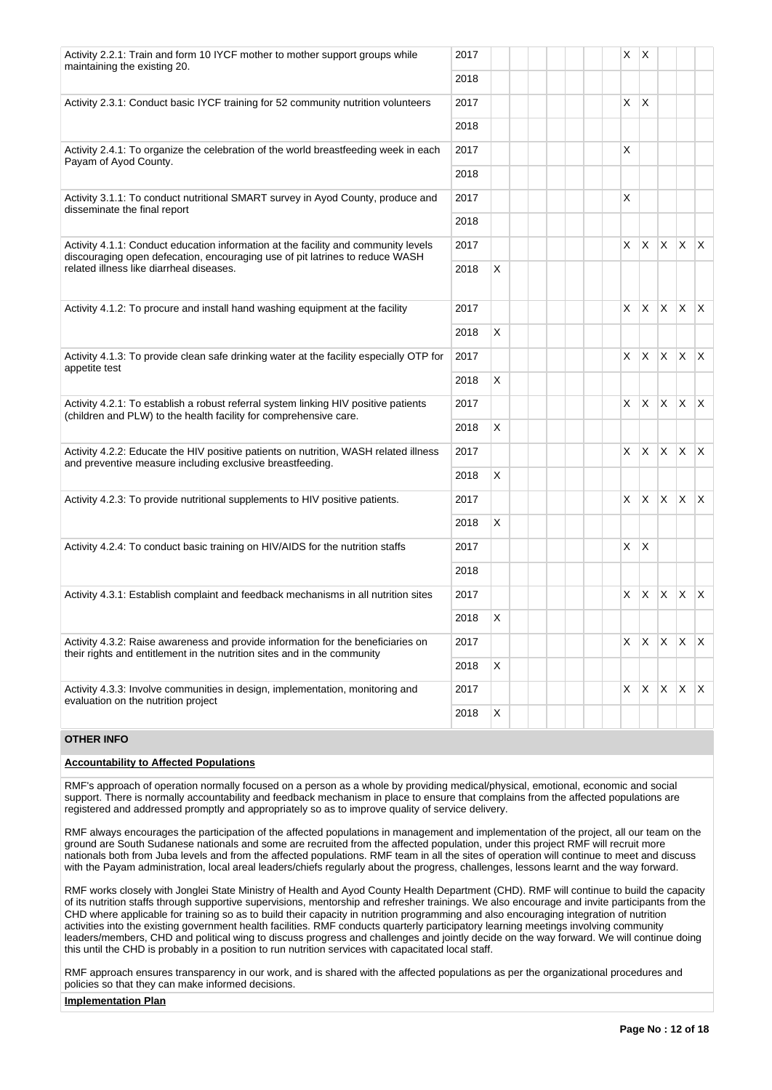| Activity 2.2.1: Train and form 10 IYCF mother to mother support groups while<br>maintaining the existing 20.                                                       | 2017 |    |  | $\times$ | X              |          |                   |              |
|--------------------------------------------------------------------------------------------------------------------------------------------------------------------|------|----|--|----------|----------------|----------|-------------------|--------------|
|                                                                                                                                                                    | 2018 |    |  |          |                |          |                   |              |
| Activity 2.3.1: Conduct basic IYCF training for 52 community nutrition volunteers                                                                                  | 2017 |    |  | X.       | X              |          |                   |              |
|                                                                                                                                                                    | 2018 |    |  |          |                |          |                   |              |
| Activity 2.4.1: To organize the celebration of the world breastfeeding week in each<br>Payam of Ayod County.                                                       | 2017 |    |  | X.       |                |          |                   |              |
|                                                                                                                                                                    | 2018 |    |  |          |                |          |                   |              |
| Activity 3.1.1: To conduct nutritional SMART survey in Ayod County, produce and<br>disseminate the final report                                                    | 2017 |    |  | X        |                |          |                   |              |
|                                                                                                                                                                    | 2018 |    |  |          |                |          |                   |              |
| Activity 4.1.1: Conduct education information at the facility and community levels<br>discouraging open defecation, encouraging use of pit latrines to reduce WASH | 2017 |    |  | X.       | <b>X</b>       | <b>X</b> | $X$ $X$           |              |
| related illness like diarrheal diseases.                                                                                                                           | 2018 | X  |  |          |                |          |                   |              |
| Activity 4.1.2: To procure and install hand washing equipment at the facility                                                                                      | 2017 |    |  | X.       | <b>X</b>       |          | $x \times x$      |              |
|                                                                                                                                                                    | 2018 | X. |  |          |                |          |                   |              |
| Activity 4.1.3: To provide clean safe drinking water at the facility especially OTP for<br>appetite test                                                           | 2017 |    |  | $\times$ | ΙX.            |          | $X$ $X$ $X$       |              |
|                                                                                                                                                                    | 2018 | X  |  |          |                |          |                   |              |
| Activity 4.2.1: To establish a robust referral system linking HIV positive patients<br>(children and PLW) to the health facility for comprehensive care.           | 2017 |    |  | $\times$ | <b>X</b>       |          | $x \mathbf{x}$    |              |
|                                                                                                                                                                    | 2018 | X  |  |          |                |          |                   |              |
| Activity 4.2.2: Educate the HIV positive patients on nutrition, WASH related illness<br>and preventive measure including exclusive breastfeeding.                  | 2017 |    |  | $\times$ | X.             |          | $x \mid x \mid x$ |              |
|                                                                                                                                                                    | 2018 | X  |  |          |                |          |                   |              |
| Activity 4.2.3: To provide nutritional supplements to HIV positive patients.                                                                                       | 2017 |    |  |          | $x \mathsf{X}$ | ΙX.      | $x \times$        |              |
|                                                                                                                                                                    | 2018 | X  |  |          |                |          |                   |              |
| Activity 4.2.4: To conduct basic training on HIV/AIDS for the nutrition staffs                                                                                     | 2017 |    |  |          | $x \mid x$     |          |                   |              |
|                                                                                                                                                                    | 2018 |    |  |          |                |          |                   |              |
| Activity 4.3.1: Establish complaint and feedback mechanisms in all nutrition sites                                                                                 | 2017 |    |  | X.       | $\mathsf{X}$   | ΙX.      | $\mathsf{X}$      | $\mathsf{X}$ |
|                                                                                                                                                                    | 2018 | X  |  |          |                |          |                   |              |
| Activity 4.3.2: Raise awareness and provide information for the beneficiaries on<br>their rights and entitlement in the nutrition sites and in the community       | 2017 |    |  | X.       | X.             | X.       | $x \times$        |              |
|                                                                                                                                                                    | 2018 | X  |  |          |                |          |                   |              |
| Activity 4.3.3: Involve communities in design, implementation, monitoring and<br>evaluation on the nutrition project                                               | 2017 |    |  | X.       | X.             |          | $X \mid X \mid X$ |              |
|                                                                                                                                                                    | 2018 | X  |  |          |                |          |                   |              |

## **OTHER INFO**

#### **Accountability to Affected Populations**

RMF's approach of operation normally focused on a person as a whole by providing medical/physical, emotional, economic and social support. There is normally accountability and feedback mechanism in place to ensure that complains from the affected populations are registered and addressed promptly and appropriately so as to improve quality of service delivery.

RMF always encourages the participation of the affected populations in management and implementation of the project, all our team on the ground are South Sudanese nationals and some are recruited from the affected population, under this project RMF will recruit more nationals both from Juba levels and from the affected populations. RMF team in all the sites of operation will continue to meet and discuss with the Payam administration, local areal leaders/chiefs regularly about the progress, challenges, lessons learnt and the way forward.

RMF works closely with Jonglei State Ministry of Health and Ayod County Health Department (CHD). RMF will continue to build the capacity of its nutrition staffs through supportive supervisions, mentorship and refresher trainings. We also encourage and invite participants from the CHD where applicable for training so as to build their capacity in nutrition programming and also encouraging integration of nutrition activities into the existing government health facilities. RMF conducts quarterly participatory learning meetings involving community leaders/members, CHD and political wing to discuss progress and challenges and jointly decide on the way forward. We will continue doing this until the CHD is probably in a position to run nutrition services with capacitated local staff.

RMF approach ensures transparency in our work, and is shared with the affected populations as per the organizational procedures and policies so that they can make informed decisions.

#### **Implementation Plan**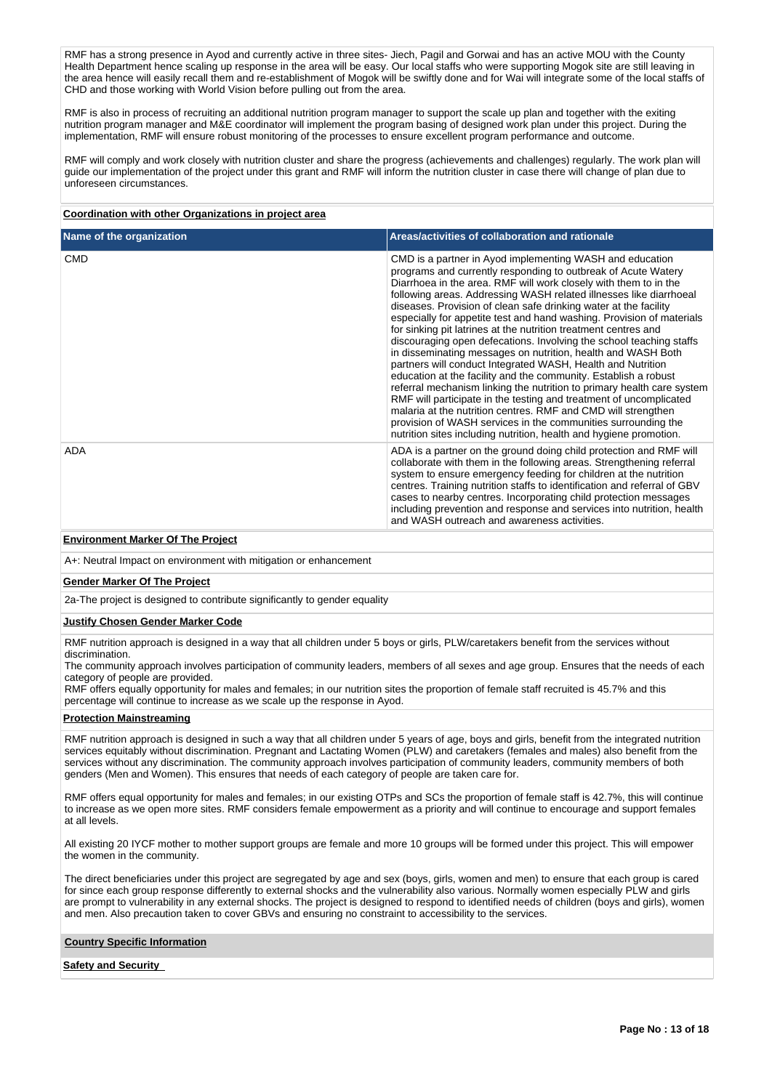RMF has a strong presence in Ayod and currently active in three sites- Jiech, Pagil and Gorwai and has an active MOU with the County Health Department hence scaling up response in the area will be easy. Our local staffs who were supporting Mogok site are still leaving in the area hence will easily recall them and re-establishment of Mogok will be swiftly done and for Wai will integrate some of the local staffs of CHD and those working with World Vision before pulling out from the area.

RMF is also in process of recruiting an additional nutrition program manager to support the scale up plan and together with the exiting nutrition program manager and M&E coordinator will implement the program basing of designed work plan under this project. During the implementation, RMF will ensure robust monitoring of the processes to ensure excellent program performance and outcome.

RMF will comply and work closely with nutrition cluster and share the progress (achievements and challenges) regularly. The work plan will guide our implementation of the project under this grant and RMF will inform the nutrition cluster in case there will change of plan due to unforeseen circumstances.

#### **Coordination with other Organizations in project area**

| Name of the organization | Areas/activities of collaboration and rationale                                                                                                                                                                                                                                                                                                                                                                                                                                                                                                                                                                                                                                                                                                                                                                                                                                                                                                                                                                                                                                                                      |
|--------------------------|----------------------------------------------------------------------------------------------------------------------------------------------------------------------------------------------------------------------------------------------------------------------------------------------------------------------------------------------------------------------------------------------------------------------------------------------------------------------------------------------------------------------------------------------------------------------------------------------------------------------------------------------------------------------------------------------------------------------------------------------------------------------------------------------------------------------------------------------------------------------------------------------------------------------------------------------------------------------------------------------------------------------------------------------------------------------------------------------------------------------|
| <b>CMD</b>               | CMD is a partner in Ayod implementing WASH and education<br>programs and currently responding to outbreak of Acute Watery<br>Diarrhoea in the area. RMF will work closely with them to in the<br>following areas. Addressing WASH related illnesses like diarrhoeal<br>diseases. Provision of clean safe drinking water at the facility<br>especially for appetite test and hand washing. Provision of materials<br>for sinking pit latrines at the nutrition treatment centres and<br>discouraging open defecations. Involving the school teaching staffs<br>in disseminating messages on nutrition, health and WASH Both<br>partners will conduct Integrated WASH, Health and Nutrition<br>education at the facility and the community. Establish a robust<br>referral mechanism linking the nutrition to primary health care system<br>RMF will participate in the testing and treatment of uncomplicated<br>malaria at the nutrition centres. RMF and CMD will strengthen<br>provision of WASH services in the communities surrounding the<br>nutrition sites including nutrition, health and hygiene promotion. |
| <b>ADA</b>               | ADA is a partner on the ground doing child protection and RMF will<br>collaborate with them in the following areas. Strengthening referral<br>system to ensure emergency feeding for children at the nutrition<br>centres. Training nutrition staffs to identification and referral of GBV<br>cases to nearby centres. Incorporating child protection messages<br>including prevention and response and services into nutrition, health<br>and WASH outreach and awareness activities.                                                                                                                                                                                                                                                                                                                                                                                                                                                                                                                                                                                                                               |

## **Environment Marker Of The Project**

A+: Neutral Impact on environment with mitigation or enhancement

#### **Gender Marker Of The Project**

2a-The project is designed to contribute significantly to gender equality

#### **Justify Chosen Gender Marker Code**

RMF nutrition approach is designed in a way that all children under 5 boys or girls, PLW/caretakers benefit from the services without discrimination.

The community approach involves participation of community leaders, members of all sexes and age group. Ensures that the needs of each category of people are provided.

RMF offers equally opportunity for males and females; in our nutrition sites the proportion of female staff recruited is 45.7% and this percentage will continue to increase as we scale up the response in Ayod.

#### **Protection Mainstreaming**

RMF nutrition approach is designed in such a way that all children under 5 years of age, boys and girls, benefit from the integrated nutrition services equitably without discrimination. Pregnant and Lactating Women (PLW) and caretakers (females and males) also benefit from the services without any discrimination. The community approach involves participation of community leaders, community members of both genders (Men and Women). This ensures that needs of each category of people are taken care for.

RMF offers equal opportunity for males and females; in our existing OTPs and SCs the proportion of female staff is 42.7%, this will continue to increase as we open more sites. RMF considers female empowerment as a priority and will continue to encourage and support females at all levels.

All existing 20 IYCF mother to mother support groups are female and more 10 groups will be formed under this project. This will empower the women in the community.

The direct beneficiaries under this project are segregated by age and sex (boys, girls, women and men) to ensure that each group is cared for since each group response differently to external shocks and the vulnerability also various. Normally women especially PLW and girls are prompt to vulnerability in any external shocks. The project is designed to respond to identified needs of children (boys and girls), women and men. Also precaution taken to cover GBVs and ensuring no constraint to accessibility to the services.

#### **Country Specific Information**

#### **Safety and Security**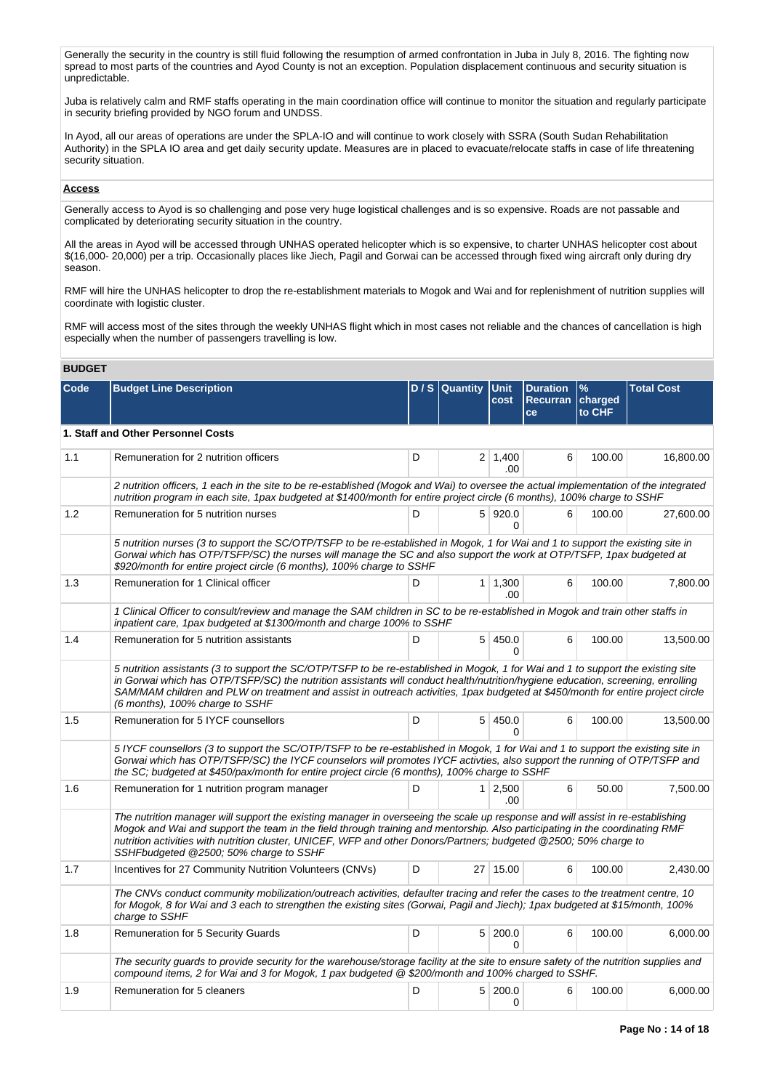Generally the security in the country is still fluid following the resumption of armed confrontation in Juba in July 8, 2016. The fighting now spread to most parts of the countries and Ayod County is not an exception. Population displacement continuous and security situation is unpredictable.

Juba is relatively calm and RMF staffs operating in the main coordination office will continue to monitor the situation and regularly participate in security briefing provided by NGO forum and UNDSS.

In Ayod, all our areas of operations are under the SPLA-IO and will continue to work closely with SSRA (South Sudan Rehabilitation Authority) in the SPLA IO area and get daily security update. Measures are in placed to evacuate/relocate staffs in case of life threatening security situation.

#### **Access**

Generally access to Ayod is so challenging and pose very huge logistical challenges and is so expensive. Roads are not passable and complicated by deteriorating security situation in the country.

All the areas in Ayod will be accessed through UNHAS operated helicopter which is so expensive, to charter UNHAS helicopter cost about \$(16,000- 20,000) per a trip. Occasionally places like Jiech, Pagil and Gorwai can be accessed through fixed wing aircraft only during dry season.

RMF will hire the UNHAS helicopter to drop the re-establishment materials to Mogok and Wai and for replenishment of nutrition supplies will coordinate with logistic cluster.

RMF will access most of the sites through the weekly UNHAS flight which in most cases not reliable and the chances of cancellation is high especially when the number of passengers travelling is low.

### **BUDGET**

| Code | <b>Budget Line Description</b>                                                                                                                                                                                                                                                                                                                                                                                                            |   | D/S Quantity Unit | cost                  | <b>Duration</b><br>Recurran charged<br>ce | $\frac{9}{6}$<br>to CHF | <b>Total Cost</b> |  |  |
|------|-------------------------------------------------------------------------------------------------------------------------------------------------------------------------------------------------------------------------------------------------------------------------------------------------------------------------------------------------------------------------------------------------------------------------------------------|---|-------------------|-----------------------|-------------------------------------------|-------------------------|-------------------|--|--|
|      | 1. Staff and Other Personnel Costs                                                                                                                                                                                                                                                                                                                                                                                                        |   |                   |                       |                                           |                         |                   |  |  |
| 1.1  | Remuneration for 2 nutrition officers                                                                                                                                                                                                                                                                                                                                                                                                     | D |                   | $2 \mid 1,400$<br>.00 | 6                                         | 100.00                  | 16,800.00         |  |  |
|      | 2 nutrition officers, 1 each in the site to be re-established (Mogok and Wai) to oversee the actual implementation of the integrated<br>nutrition program in each site, 1pax budgeted at \$1400/month for entire project circle (6 months), 100% charge to SSHF                                                                                                                                                                           |   |                   |                       |                                           |                         |                   |  |  |
| 1.2  | Remuneration for 5 nutrition nurses                                                                                                                                                                                                                                                                                                                                                                                                       | D |                   | 5 920.0<br>$\Omega$   | 6                                         | 100.00                  | 27,600.00         |  |  |
|      | 5 nutrition nurses (3 to support the SC/OTP/TSFP to be re-established in Mogok, 1 for Wai and 1 to support the existing site in<br>Gorwai which has OTP/TSFP/SC) the nurses will manage the SC and also support the work at OTP/TSFP, 1pax budgeted at<br>\$920/month for entire project circle (6 months), 100% charge to SSHF                                                                                                           |   |                   |                       |                                           |                         |                   |  |  |
| 1.3  | Remuneration for 1 Clinical officer                                                                                                                                                                                                                                                                                                                                                                                                       | D |                   | $1 \mid 1,300$<br>.00 | 6                                         | 100.00                  | 7,800.00          |  |  |
|      | 1 Clinical Officer to consult/review and manage the SAM children in SC to be re-established in Mogok and train other staffs in<br>inpatient care, 1pax budgeted at \$1300/month and charge 100% to SSHF                                                                                                                                                                                                                                   |   |                   |                       |                                           |                         |                   |  |  |
| 1.4  | Remuneration for 5 nutrition assistants                                                                                                                                                                                                                                                                                                                                                                                                   | D |                   | 5 450.0<br>0          | 6                                         | 100.00                  | 13,500.00         |  |  |
|      | 5 nutrition assistants (3 to support the SC/OTP/TSFP to be re-established in Mogok, 1 for Wai and 1 to support the existing site<br>in Gorwai which has OTP/TSFP/SC) the nutrition assistants will conduct health/nutrition/hygiene education, screening, enrolling<br>SAM/MAM children and PLW on treatment and assist in outreach activities, 1pax budgeted at \$450/month for entire project circle<br>(6 months), 100% charge to SSHF |   |                   |                       |                                           |                         |                   |  |  |
| 1.5  | Remuneration for 5 IYCF counsellors                                                                                                                                                                                                                                                                                                                                                                                                       | D |                   | 5 450.0<br>$\Omega$   | 6                                         | 100.00                  | 13,500.00         |  |  |
|      | 5 IYCF counsellors (3 to support the SC/OTP/TSFP to be re-established in Mogok, 1 for Wai and 1 to support the existing site in<br>Gorwai which has OTP/TSFP/SC) the IYCF counselors will promotes IYCF activties, also support the running of OTP/TSFP and<br>the SC; budgeted at \$450/pax/month for entire project circle (6 months), 100% charge to SSHF                                                                              |   |                   |                       |                                           |                         |                   |  |  |
| 1.6  | Remuneration for 1 nutrition program manager                                                                                                                                                                                                                                                                                                                                                                                              | D |                   | $1 \mid 2,500$<br>.00 | 6                                         | 50.00                   | 7,500.00          |  |  |
|      | The nutrition manager will support the existing manager in overseeing the scale up response and will assist in re-establishing<br>Mogok and Wai and support the team in the field through training and mentorship. Also participating in the coordinating RMF<br>nutrition activities with nutrition cluster, UNICEF, WFP and other Donors/Partners; budgeted @2500; 50% charge to<br>SSHFbudgeted @2500; 50% charge to SSHF              |   |                   |                       |                                           |                         |                   |  |  |
| 1.7  | Incentives for 27 Community Nutrition Volunteers (CNVs)                                                                                                                                                                                                                                                                                                                                                                                   | D |                   | 27 15.00              | 6                                         | 100.00                  | 2,430.00          |  |  |
|      | The CNVs conduct community mobilization/outreach activities, defaulter tracing and refer the cases to the treatment centre, 10<br>for Mogok, 8 for Wai and 3 each to strengthen the existing sites (Gorwai, Pagil and Jiech); 1pax budgeted at \$15/month, 100%<br>charge to SSHF                                                                                                                                                         |   |                   |                       |                                           |                         |                   |  |  |
| 1.8  | <b>Remuneration for 5 Security Guards</b>                                                                                                                                                                                                                                                                                                                                                                                                 | D |                   | 5 200.0<br>$\Omega$   | 6                                         | 100.00                  | 6,000.00          |  |  |
|      | The security guards to provide security for the warehouse/storage facility at the site to ensure safety of the nutrition supplies and<br>compound items, 2 for Wai and 3 for Mogok, 1 pax budgeted @ \$200/month and 100% charged to SSHF.                                                                                                                                                                                                |   |                   |                       |                                           |                         |                   |  |  |
| 1.9  | Remuneration for 5 cleaners                                                                                                                                                                                                                                                                                                                                                                                                               | D |                   | 5 200.0<br>0          | 6                                         | 100.00                  | 6,000.00          |  |  |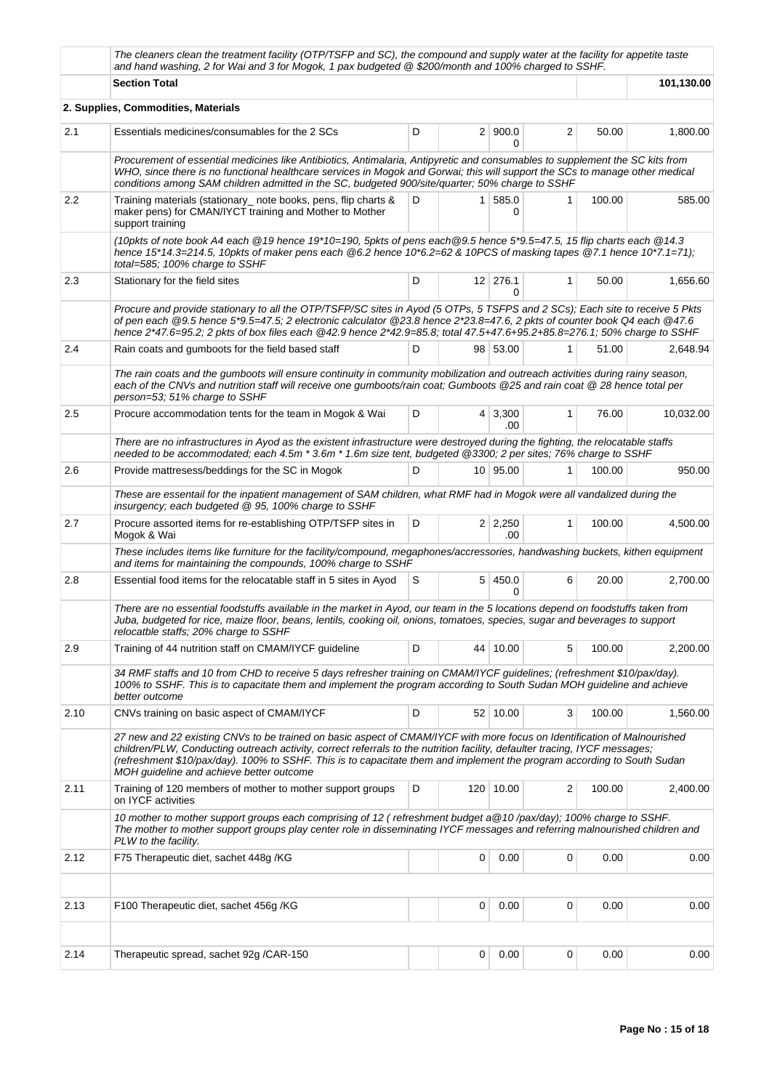|      | The cleaners clean the treatment facility (OTP/TSFP and SC), the compound and supply water at the facility for appetite taste<br>and hand washing, 2 for Wai and 3 for Mogok, 1 pax budgeted @ \$200/month and 100% charged to SSHF.                                                                                                                                                                                          |   |                |                       |              |        |            |
|------|-------------------------------------------------------------------------------------------------------------------------------------------------------------------------------------------------------------------------------------------------------------------------------------------------------------------------------------------------------------------------------------------------------------------------------|---|----------------|-----------------------|--------------|--------|------------|
|      | <b>Section Total</b>                                                                                                                                                                                                                                                                                                                                                                                                          |   |                |                       |              |        | 101,130.00 |
|      | 2. Supplies, Commodities, Materials                                                                                                                                                                                                                                                                                                                                                                                           |   |                |                       |              |        |            |
| 2.1  | Essentials medicines/consumables for the 2 SCs                                                                                                                                                                                                                                                                                                                                                                                | D |                | 2   900.0<br>0        | 2            | 50.00  | 1,800.00   |
|      | Procurement of essential medicines like Antibiotics, Antimalaria, Antipyretic and consumables to supplement the SC kits from<br>WHO, since there is no functional healthcare services in Mogok and Gorwai; this will support the SCs to manage other medical<br>conditions among SAM children admitted in the SC, budgeted 900/site/quarter; 50% charge to SSHF                                                               |   |                |                       |              |        |            |
| 2.2  | Training materials (stationary_ note books, pens, flip charts &<br>maker pens) for CMAN/IYCT training and Mother to Mother<br>support training                                                                                                                                                                                                                                                                                | D | 1 <sup>1</sup> | 585.0<br>0            | 1            | 100.00 | 585.00     |
|      | (10pkts of note book A4 each @19 hence 19*10=190, 5pkts of pens each @9.5 hence 5*9.5=47.5, 15 flip charts each @14.3<br>hence 15*14.3=214.5, 10pkts of maker pens each @6.2 hence 10*6.2=62 & 10PCS of masking tapes @7.1 hence 10*7.1=71);<br>total=585; 100% charge to SSHF                                                                                                                                                |   |                |                       |              |        |            |
| 2.3  | Stationary for the field sites                                                                                                                                                                                                                                                                                                                                                                                                | D |                | 12 276.1<br>O         | 1            | 50.00  | 1,656.60   |
|      | Procure and provide stationary to all the OTP/TSFP/SC sites in Ayod (5 OTPs, 5 TSFPS and 2 SCs); Each site to receive 5 Pkts<br>of pen each @9.5 hence 5*9.5=47.5; 2 electronic calculator @23.8 hence 2*23.8=47.6, 2 pkts of counter book Q4 each @47.6<br>hence 2*47.6=95.2; 2 pkts of box files each @42.9 hence 2*42.9=85.8; total 47.5+47.6+95.2+85.8=276.1; 50% charge to SSHF                                          |   |                |                       |              |        |            |
| 2.4  | Rain coats and gumboots for the field based staff                                                                                                                                                                                                                                                                                                                                                                             | D |                | 98 53.00              | 1            | 51.00  | 2,648.94   |
|      | The rain coats and the gumboots will ensure continuity in community mobilization and outreach activities during rainy season,<br>each of the CNVs and nutrition staff will receive one gumboots/rain coat; Gumboots @25 and rain coat @ 28 hence total per<br>person=53; 51% charge to SSHF                                                                                                                                   |   |                |                       |              |        |            |
| 2.5  | Procure accommodation tents for the team in Mogok & Wai                                                                                                                                                                                                                                                                                                                                                                       | D |                | $4 \mid 3,300$<br>.00 | $\mathbf{1}$ | 76.00  | 10,032.00  |
|      | There are no infrastructures in Ayod as the existent infrastructure were destroyed during the fighting, the relocatable staffs<br>needed to be accommodated; each 4.5m * 3.6m * 1.6m size tent, budgeted @3300; 2 per sites; 76% charge to SSHF                                                                                                                                                                               |   |                |                       |              |        |            |
| 2.6  | Provide mattresess/beddings for the SC in Mogok                                                                                                                                                                                                                                                                                                                                                                               | D |                | 10 95.00              | 1            | 100.00 | 950.00     |
|      | These are essentail for the inpatient management of SAM children, what RMF had in Mogok were all vandalized during the<br>insurgency; each budgeted @ 95, 100% charge to SSHF                                                                                                                                                                                                                                                 |   |                |                       |              |        |            |
| 2.7  | Procure assorted items for re-establishing OTP/TSFP sites in<br>Mogok & Wai                                                                                                                                                                                                                                                                                                                                                   | D |                | $2 \mid 2,250$<br>.00 | 1            | 100.00 | 4,500.00   |
|      | These includes items like furniture for the facility/compound, megaphones/accressories, handwashing buckets, kithen equipment<br>and items for maintaining the compounds, 100% charge to SSHF                                                                                                                                                                                                                                 |   |                |                       |              |        |            |
| 2.8  | Essential food items for the relocatable staff in 5 sites in Ayod                                                                                                                                                                                                                                                                                                                                                             | S | 5 <sup>1</sup> | 450.0<br>$\Omega$     | 6            | 20.00  | 2,700.00   |
|      | There are no essential foodstuffs available in the market in Ayod, our team in the 5 locations depend on foodstuffs taken from<br>Juba, budgeted for rice, maize floor, beans, lentils, cooking oil, onions, tomatoes, species, sugar and beverages to support<br>relocatble staffs; 20% charge to SSHF                                                                                                                       |   |                |                       |              |        |            |
| 2.9  | Training of 44 nutrition staff on CMAM/IYCF guideline                                                                                                                                                                                                                                                                                                                                                                         | D | 44             | 10.00                 | 5            | 100.00 | 2,200.00   |
|      | 34 RMF staffs and 10 from CHD to receive 5 days refresher training on CMAM/IYCF guidelines; (refreshment \$10/pax/day).<br>100% to SSHF. This is to capacitate them and implement the program according to South Sudan MOH guideline and achieve<br>better outcome                                                                                                                                                            |   |                |                       |              |        |            |
| 2.10 | CNVs training on basic aspect of CMAM/IYCF                                                                                                                                                                                                                                                                                                                                                                                    | D |                | 52 10.00              | 3            | 100.00 | 1,560.00   |
|      | 27 new and 22 existing CNVs to be trained on basic aspect of CMAM/IYCF with more focus on Identification of Malnourished<br>children/PLW, Conducting outreach activity, correct referrals to the nutrition facility, defaulter tracing, IYCF messages;<br>(refreshment \$10/pax/day). 100% to SSHF. This is to capacitate them and implement the program according to South Sudan<br>MOH guideline and achieve better outcome |   |                |                       |              |        |            |
| 2.11 | Training of 120 members of mother to mother support groups<br>on IYCF activities                                                                                                                                                                                                                                                                                                                                              | D |                | 120 10.00             | 2            | 100.00 | 2,400.00   |
|      | 10 mother to mother support groups each comprising of 12 (refreshment budget a@10/pax/day); 100% charge to SSHF.<br>The mother to mother support groups play center role in disseminating IYCF messages and referring malnourished children and<br>PLW to the facility.                                                                                                                                                       |   |                |                       |              |        |            |
| 2.12 | F75 Therapeutic diet, sachet 448g /KG                                                                                                                                                                                                                                                                                                                                                                                         |   | 0              | 0.00                  | 0            | 0.00   | 0.00       |
|      |                                                                                                                                                                                                                                                                                                                                                                                                                               |   |                |                       |              |        |            |
| 2.13 | F100 Therapeutic diet, sachet 456g /KG                                                                                                                                                                                                                                                                                                                                                                                        |   | 0              | 0.00                  | 0            | 0.00   | 0.00       |
| 2.14 | Therapeutic spread, sachet 92g /CAR-150                                                                                                                                                                                                                                                                                                                                                                                       |   | 0              | 0.00                  | 0            | 0.00   | 0.00       |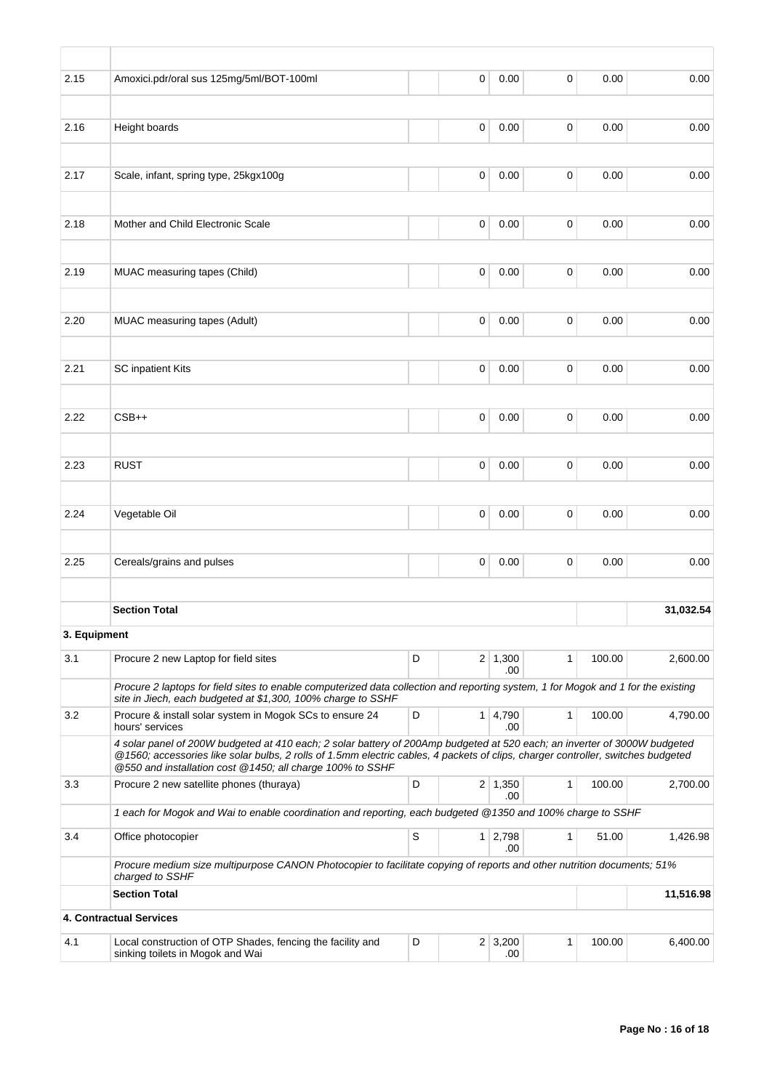| 2.15         | Amoxici.pdr/oral sus 125mg/5ml/BOT-100ml                                                                                                                                                                                                                                                                                   |             | 0           | 0.00                  | 0            | 0.00   | 0.00      |
|--------------|----------------------------------------------------------------------------------------------------------------------------------------------------------------------------------------------------------------------------------------------------------------------------------------------------------------------------|-------------|-------------|-----------------------|--------------|--------|-----------|
|              |                                                                                                                                                                                                                                                                                                                            |             |             |                       |              |        |           |
| 2.16         | Height boards                                                                                                                                                                                                                                                                                                              |             | $\mathbf 0$ | 0.00                  | $\mathbf 0$  | 0.00   | 0.00      |
|              |                                                                                                                                                                                                                                                                                                                            |             |             |                       |              |        |           |
| 2.17         | Scale, infant, spring type, 25kgx100g                                                                                                                                                                                                                                                                                      |             | 0           | 0.00                  | 0            | 0.00   | 0.00      |
| 2.18         | Mother and Child Electronic Scale                                                                                                                                                                                                                                                                                          |             | $\mathbf 0$ | 0.00                  | $\mathbf 0$  | 0.00   | 0.00      |
|              |                                                                                                                                                                                                                                                                                                                            |             |             |                       |              |        |           |
| 2.19         | MUAC measuring tapes (Child)                                                                                                                                                                                                                                                                                               |             | 0           | 0.00                  | $\mathbf 0$  | 0.00   | 0.00      |
| 2.20         | MUAC measuring tapes (Adult)                                                                                                                                                                                                                                                                                               |             | 0           | 0.00                  | 0            | 0.00   | 0.00      |
|              |                                                                                                                                                                                                                                                                                                                            |             |             |                       |              |        |           |
| 2.21         | <b>SC</b> inpatient Kits                                                                                                                                                                                                                                                                                                   |             | 0           | 0.00                  | $\mathbf 0$  | 0.00   | 0.00      |
| 2.22         | $CSB++$                                                                                                                                                                                                                                                                                                                    |             | 0           | 0.00                  | 0            | 0.00   | 0.00      |
|              |                                                                                                                                                                                                                                                                                                                            |             |             |                       |              |        |           |
| 2.23         | <b>RUST</b>                                                                                                                                                                                                                                                                                                                |             | 0           | 0.00                  | 0            | 0.00   | 0.00      |
|              |                                                                                                                                                                                                                                                                                                                            |             |             |                       |              |        |           |
| 2.24         | Vegetable Oil                                                                                                                                                                                                                                                                                                              |             | 0           | 0.00                  | $\mathbf 0$  | 0.00   | 0.00      |
|              |                                                                                                                                                                                                                                                                                                                            |             |             |                       |              |        |           |
| 2.25         | Cereals/grains and pulses                                                                                                                                                                                                                                                                                                  |             | $\mathbf 0$ | 0.00                  | $\pmb{0}$    | 0.00   | 0.00      |
|              | <b>Section Total</b>                                                                                                                                                                                                                                                                                                       |             |             |                       |              |        | 31,032.54 |
| 3. Equipment |                                                                                                                                                                                                                                                                                                                            |             |             |                       |              |        |           |
| 3.1          | Procure 2 new Laptop for field sites                                                                                                                                                                                                                                                                                       | D           |             | $2 \mid 1,300$<br>.00 | 1            | 100.00 | 2,600.00  |
|              | Procure 2 laptops for field sites to enable computerized data collection and reporting system, 1 for Mogok and 1 for the existing<br>site in Jiech, each budgeted at \$1,300, 100% charge to SSHF                                                                                                                          |             |             |                       |              |        |           |
| 3.2          | Procure & install solar system in Mogok SCs to ensure 24<br>hours' services                                                                                                                                                                                                                                                | D           |             | 1 4,790<br>.00        | $\mathbf{1}$ | 100.00 | 4,790.00  |
|              | 4 solar panel of 200W budgeted at 410 each; 2 solar battery of 200Amp budgeted at 520 each; an inverter of 3000W budgeted<br>@1560; accessories like solar bulbs, 2 rolls of 1.5mm electric cables, 4 packets of clips, charger controller, switches budgeted<br>@550 and installation cost @1450; all charge 100% to SSHF |             |             |                       |              |        |           |
| 3.3          | Procure 2 new satellite phones (thuraya)                                                                                                                                                                                                                                                                                   | D           |             | $2 \mid 1,350$<br>.00 | 1            | 100.00 | 2,700.00  |
|              | 1 each for Mogok and Wai to enable coordination and reporting, each budgeted @1350 and 100% charge to SSHF                                                                                                                                                                                                                 |             |             |                       |              |        |           |
| 3.4          | Office photocopier                                                                                                                                                                                                                                                                                                         | $\mathsf S$ |             | $1 \mid 2,798$<br>.00 | 1            | 51.00  | 1,426.98  |
|              | Procure medium size multipurpose CANON Photocopier to facilitate copying of reports and other nutrition documents; 51%<br>charged to SSHF                                                                                                                                                                                  |             |             |                       |              |        |           |
|              | <b>Section Total</b>                                                                                                                                                                                                                                                                                                       |             |             |                       |              |        | 11,516.98 |
|              | 4. Contractual Services                                                                                                                                                                                                                                                                                                    |             |             |                       |              |        |           |
| 4.1          | Local construction of OTP Shades, fencing the facility and<br>sinking toilets in Mogok and Wai                                                                                                                                                                                                                             | D           |             | $2 \mid 3,200$<br>.00 | 1            | 100.00 | 6,400.00  |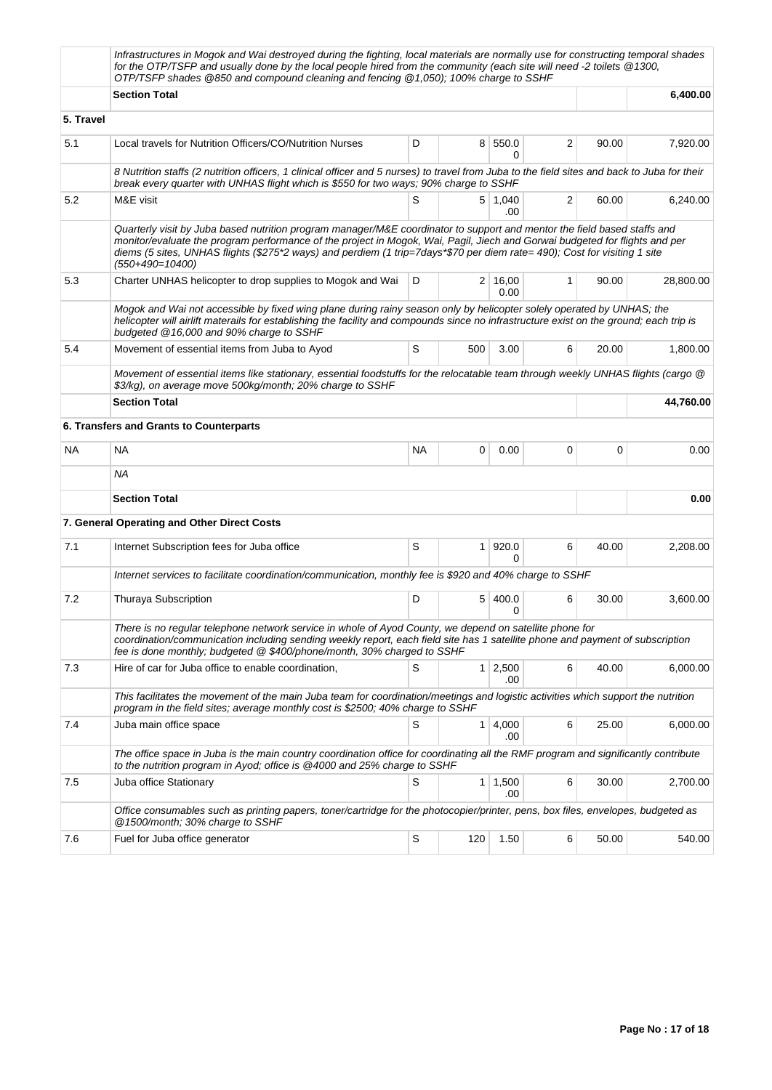|           | Infrastructures in Mogok and Wai destroyed during the fighting, local materials are normally use for constructing temporal shades<br>for the OTP/TSFP and usually done by the local people hired from the community (each site will need -2 toilets @1300,<br>OTP/TSFP shades @850 and compound cleaning and fencing @1,050); 100% charge to SSHF                                                         |    |                |                        |                |       |           |  |
|-----------|-----------------------------------------------------------------------------------------------------------------------------------------------------------------------------------------------------------------------------------------------------------------------------------------------------------------------------------------------------------------------------------------------------------|----|----------------|------------------------|----------------|-------|-----------|--|
|           | <b>Section Total</b>                                                                                                                                                                                                                                                                                                                                                                                      |    |                |                        |                |       | 6,400.00  |  |
| 5. Travel |                                                                                                                                                                                                                                                                                                                                                                                                           |    |                |                        |                |       |           |  |
| 5.1       | Local travels for Nutrition Officers/CO/Nutrition Nurses                                                                                                                                                                                                                                                                                                                                                  | D  |                | 8 550.0<br>0           | 2              | 90.00 | 7,920.00  |  |
|           | 8 Nutrition staffs (2 nutrition officers, 1 clinical officer and 5 nurses) to travel from Juba to the field sites and back to Juba for their<br>break every quarter with UNHAS flight which is \$550 for two ways; 90% charge to SSHF                                                                                                                                                                     |    |                |                        |                |       |           |  |
| 5.2       | M&E visit                                                                                                                                                                                                                                                                                                                                                                                                 | S  |                | 5 1,040<br>.00         | $\overline{2}$ | 60.00 | 6,240.00  |  |
|           | Quarterly visit by Juba based nutrition program manager/M&E coordinator to support and mentor the field based staffs and<br>monitor/evaluate the program performance of the project in Mogok, Wai, Pagil, Jiech and Gorwai budgeted for flights and per<br>diems (5 sites, UNHAS flights (\$275*2 ways) and perdiem (1 trip=7days*\$70 per diem rate= 490); Cost for visiting 1 site<br>$(550+490=10400)$ |    |                |                        |                |       |           |  |
| 5.3       | Charter UNHAS helicopter to drop supplies to Mogok and Wai                                                                                                                                                                                                                                                                                                                                                | D  |                | $2 \mid 16,00$<br>0.00 | 1              | 90.00 | 28,800.00 |  |
|           | Mogok and Wai not accessible by fixed wing plane during rainy season only by helicopter solely operated by UNHAS; the<br>helicopter will airlift materails for establishing the facility and compounds since no infrastructure exist on the ground; each trip is<br>budgeted @16,000 and 90% charge to SSHF                                                                                               |    |                |                        |                |       |           |  |
| 5.4       | Movement of essential items from Juba to Ayod                                                                                                                                                                                                                                                                                                                                                             | S  | 500            | 3.00                   | 6              | 20.00 | 1,800.00  |  |
|           | Movement of essential items like stationary, essential foodstuffs for the relocatable team through weekly UNHAS flights (cargo @<br>\$3/kg), on average move 500kg/month; 20% charge to SSHF                                                                                                                                                                                                              |    |                |                        |                |       |           |  |
|           | <b>Section Total</b>                                                                                                                                                                                                                                                                                                                                                                                      |    |                |                        |                |       | 44,760.00 |  |
|           | 6. Transfers and Grants to Counterparts                                                                                                                                                                                                                                                                                                                                                                   |    |                |                        |                |       |           |  |
| NA.       | <b>NA</b>                                                                                                                                                                                                                                                                                                                                                                                                 | NA | 0              | 0.00                   | 0              | 0     | 0.00      |  |
|           | ΝA                                                                                                                                                                                                                                                                                                                                                                                                        |    |                |                        |                |       |           |  |
|           | <b>Section Total</b>                                                                                                                                                                                                                                                                                                                                                                                      |    | 0.00           |                        |                |       |           |  |
|           | 7. General Operating and Other Direct Costs                                                                                                                                                                                                                                                                                                                                                               |    |                |                        |                |       |           |  |
| 7.1       | Internet Subscription fees for Juba office                                                                                                                                                                                                                                                                                                                                                                | S  | 1              | 920.0<br>0             | 6              | 40.00 | 2,208.00  |  |
|           | Internet services to facilitate coordination/communication, monthly fee is \$920 and 40% charge to SSHF                                                                                                                                                                                                                                                                                                   |    |                |                        |                |       |           |  |
| 7.2       | <b>Thuraya Subscription</b>                                                                                                                                                                                                                                                                                                                                                                               | D  |                | 5 400.0<br>0           | 6              | 30.00 | 3,600.00  |  |
|           | There is no regular telephone network service in whole of Ayod County, we depend on satellite phone for<br>coordination/communication including sending weekly report, each field site has 1 satellite phone and payment of subscription<br>fee is done monthly; budgeted @ \$400/phone/month, 30% charged to SSHF                                                                                        |    |                |                        |                |       |           |  |
| 7.3       | Hire of car for Juba office to enable coordination,                                                                                                                                                                                                                                                                                                                                                       | S  | 1 <sup>1</sup> | 2,500<br>.00           | 6              | 40.00 | 6,000.00  |  |
|           | This facilitates the movement of the main Juba team for coordination/meetings and logistic activities which support the nutrition<br>program in the field sites; average monthly cost is \$2500; 40% charge to SSHF                                                                                                                                                                                       |    |                |                        |                |       |           |  |
| 7.4       | Juba main office space                                                                                                                                                                                                                                                                                                                                                                                    | S  |                | $1 \, 4,000$<br>.00    | 6              | 25.00 | 6,000.00  |  |
|           | The office space in Juba is the main country coordination office for coordinating all the RMF program and significantly contribute<br>to the nutrition program in Ayod; office is @4000 and 25% charge to SSHF                                                                                                                                                                                            |    |                |                        |                |       |           |  |
| 7.5       | Juba office Stationary                                                                                                                                                                                                                                                                                                                                                                                    | S  | $\mathbf{1}$   | 1,500<br>.00           | 6              | 30.00 | 2,700.00  |  |
|           | Office consumables such as printing papers, toner/cartridge for the photocopier/printer, pens, box files, envelopes, budgeted as<br>@1500/month; 30% charge to SSHF                                                                                                                                                                                                                                       |    |                |                        |                |       |           |  |
| 7.6       |                                                                                                                                                                                                                                                                                                                                                                                                           |    |                |                        |                |       |           |  |